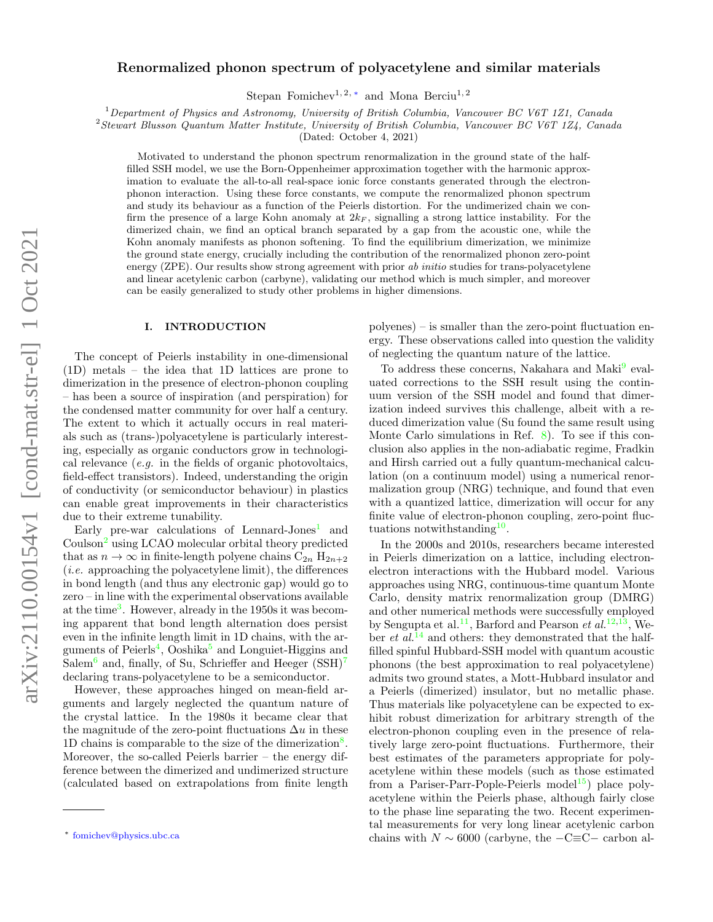# Renormalized phonon spectrum of polyacetylene and similar materials

Stepan Fomichev<sup>1, 2, [∗](#page-0-0)</sup> and Mona Berciu<sup>1, 2</sup>

 $1$  Department of Physics and Astronomy, University of British Columbia, Vancouver BC V6T 1Z1, Canada

<sup>2</sup>Stewart Blusson Quantum Matter Institute, University of British Columbia, Vancouver BC V6T 1Z4, Canada

(Dated: October 4, 2021)

Motivated to understand the phonon spectrum renormalization in the ground state of the halffilled SSH model, we use the Born-Oppenheimer approximation together with the harmonic approximation to evaluate the all-to-all real-space ionic force constants generated through the electronphonon interaction. Using these force constants, we compute the renormalized phonon spectrum and study its behaviour as a function of the Peierls distortion. For the undimerized chain we confirm the presence of a large Kohn anomaly at  $2k_F$ , signalling a strong lattice instability. For the dimerized chain, we find an optical branch separated by a gap from the acoustic one, while the Kohn anomaly manifests as phonon softening. To find the equilibrium dimerization, we minimize the ground state energy, crucially including the contribution of the renormalized phonon zero-point energy (ZPE). Our results show strong agreement with prior ab *initio* studies for trans-polyacetylene and linear acetylenic carbon (carbyne), validating our method which is much simpler, and moreover can be easily generalized to study other problems in higher dimensions.

# I. INTRODUCTION

The concept of Peierls instability in one-dimensional (1D) metals – the idea that 1D lattices are prone to dimerization in the presence of electron-phonon coupling – has been a source of inspiration (and perspiration) for the condensed matter community for over half a century. The extent to which it actually occurs in real materials such as (trans-)polyacetylene is particularly interesting, especially as organic conductors grow in technological relevance (e.g. in the fields of organic photovoltaics, field-effect transistors). Indeed, understanding the origin of conductivity (or semiconductor behaviour) in plastics can enable great improvements in their characteristics due to their extreme tunability.

Early pre-war calculations of Lennard-Jones<sup>[1](#page-16-0)</sup> and Coulson<sup>[2](#page-16-1)</sup> using LCAO molecular orbital theory predicted that as  $n \to \infty$  in finite-length polyene chains  $C_{2n} H_{2n+2}$  $(i.e.$  approaching the polyacetylene limit), the differences in bond length (and thus any electronic gap) would go to zero – in line with the experimental observations available at the time<sup>[3](#page-16-2)</sup>. However, already in the 1950s it was becoming apparent that bond length alternation does persist even in the infinite length limit in 1D chains, with the ar-guments of Peierls<sup>[4](#page-16-3)</sup>, Ooshika<sup>[5](#page-16-4)</sup> and Longuiet-Higgins and Salem<sup>[6](#page-16-5)</sup> and, finally, of Su, Schrieffer and Heeger  $(SSH)^7$  $(SSH)^7$ declaring trans-polyacetylene to be a semiconductor.

However, these approaches hinged on mean-field arguments and largely neglected the quantum nature of the crystal lattice. In the 1980s it became clear that the magnitude of the zero-point fluctuations  $\Delta u$  in these 1D chains is comparable to the size of the dimerization<sup>[8](#page-16-7)</sup>. Moreover, the so-called Peierls barrier – the energy difference between the dimerized and undimerized structure (calculated based on extrapolations from finite length

polyenes) – is smaller than the zero-point fluctuation energy. These observations called into question the validity of neglecting the quantum nature of the lattice.

To address these concerns, Nakahara and Maki<sup>[9](#page-16-8)</sup> evaluated corrections to the SSH result using the continuum version of the SSH model and found that dimerization indeed survives this challenge, albeit with a reduced dimerization value (Su found the same result using Monte Carlo simulations in Ref. [8\)](#page-16-7). To see if this conclusion also applies in the non-adiabatic regime, Fradkin and Hirsh carried out a fully quantum-mechanical calculation (on a continuum model) using a numerical renormalization group (NRG) technique, and found that even with a quantized lattice, dimerization will occur for any finite value of electron-phonon coupling, zero-point fluc-tuations notwithstanding<sup>[10](#page-16-9)</sup>.

In the 2000s and 2010s, researchers became interested in Peierls dimerization on a lattice, including electronelectron interactions with the Hubbard model. Various approaches using NRG, continuous-time quantum Monte Carlo, density matrix renormalization group (DMRG) and other numerical methods were successfully employed by Sengupta et al.<sup>[11](#page-16-10)</sup>, Barford and Pearson *et al.*<sup>[12](#page-16-11)[,13](#page-16-12)</sup>, Weber *et al.*<sup>[14](#page-16-13)</sup> and others: they demonstrated that the halffilled spinful Hubbard-SSH model with quantum acoustic phonons (the best approximation to real polyacetylene) admits two ground states, a Mott-Hubbard insulator and a Peierls (dimerized) insulator, but no metallic phase. Thus materials like polyacetylene can be expected to exhibit robust dimerization for arbitrary strength of the electron-phonon coupling even in the presence of relatively large zero-point fluctuations. Furthermore, their best estimates of the parameters appropriate for polyacetylene within these models (such as those estimated from a Pariser-Parr-Pople-Peierls model<sup>[15](#page-16-14)</sup>) place polyacetylene within the Peierls phase, although fairly close to the phase line separating the two. Recent experimental measurements for very long linear acetylenic carbon chains with  $N \sim 6000$  (carbyne, the  $-C \equiv C -$  carbon al-

<span id="page-0-0"></span><sup>∗</sup> [fomichev@physics.ubc.ca](mailto:fomichev@physics.ubc.ca)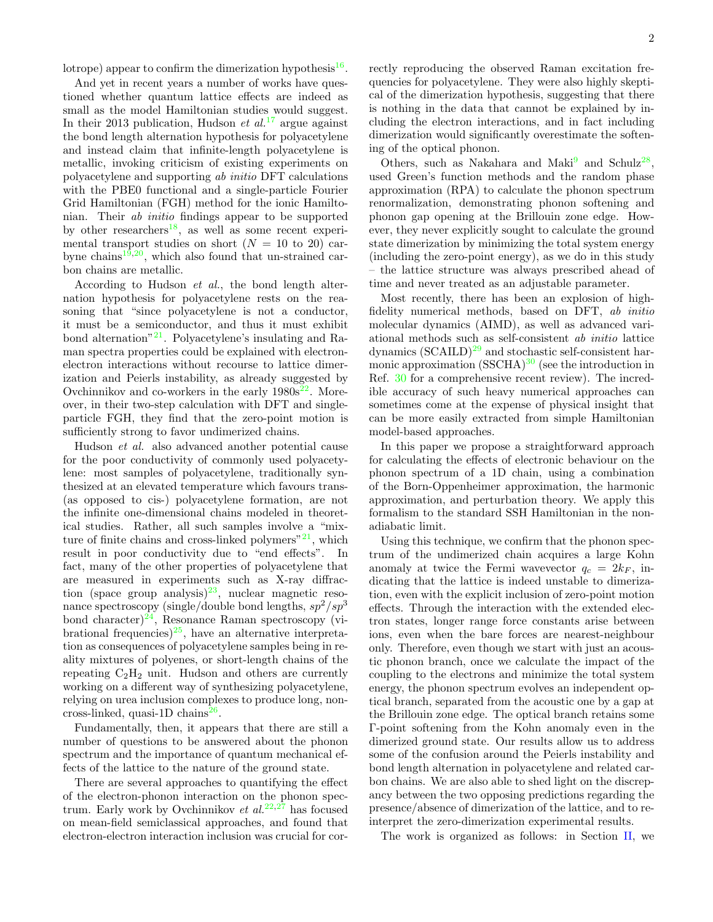lotrope) appear to confirm the dimerization hypothesis<sup>[16](#page-16-15)</sup>.

And yet in recent years a number of works have questioned whether quantum lattice effects are indeed as small as the model Hamiltonian studies would suggest. In their 2013 publication, Hudson et  $al^{17}$  $al^{17}$  $al^{17}$  argue against the bond length alternation hypothesis for polyacetylene and instead claim that infinite-length polyacetylene is metallic, invoking criticism of existing experiments on polyacetylene and supporting ab initio DFT calculations with the PBE0 functional and a single-particle Fourier Grid Hamiltonian (FGH) method for the ionic Hamiltonian. Their ab initio findings appear to be supported by other researchers<sup>[18](#page-16-17)</sup>, as well as some recent experimental transport studies on short  $(N = 10$  to 20) car-byne chains<sup>[19](#page-16-18)[,20](#page-17-0)</sup>, which also found that un-strained carbon chains are metallic.

According to Hudson *et al.*, the bond length alternation hypothesis for polyacetylene rests on the reasoning that "since polyacetylene is not a conductor, it must be a semiconductor, and thus it must exhibit bond alternation"<sup>[21](#page-17-1)</sup>. Polyacetylene's insulating and Raman spectra properties could be explained with electronelectron interactions without recourse to lattice dimerization and Peierls instability, as already suggested by Ovchinnikov and co-workers in the early  $1980s^{22}$  $1980s^{22}$  $1980s^{22}$ . Moreover, in their two-step calculation with DFT and singleparticle FGH, they find that the zero-point motion is sufficiently strong to favor undimerized chains.

Hudson et al. also advanced another potential cause for the poor conductivity of commonly used polyacetylene: most samples of polyacetylene, traditionally synthesized at an elevated temperature which favours trans- (as opposed to cis-) polyacetylene formation, are not the infinite one-dimensional chains modeled in theoretical studies. Rather, all such samples involve a "mixture of finite chains and cross-linked polymers" $21$ , which result in poor conductivity due to "end effects". In fact, many of the other properties of polyacetylene that are measured in experiments such as X-ray diffrac-tion (space group analysis)<sup>[23](#page-17-3)</sup>, nuclear magnetic resonance spectroscopy (single/double bond lengths,  $sp^2/sp^3$ bond character)<sup>[24](#page-17-4)</sup>, Resonance Raman spectroscopy (vi-brational frequencies)<sup>[25](#page-17-5)</sup>, have an alternative interpretation as consequences of polyacetylene samples being in reality mixtures of polyenes, or short-length chains of the repeating  $C_2H_2$  unit. Hudson and others are currently working on a different way of synthesizing polyacetylene, relying on urea inclusion complexes to produce long, non- $\cos\left(\frac{\text{ln}}{\text{log}26}\right)$  $\cos\left(\frac{\text{ln}}{\text{log}26}\right)$  $\cos\left(\frac{\text{ln}}{\text{log}26}\right)$ .

Fundamentally, then, it appears that there are still a number of questions to be answered about the phonon spectrum and the importance of quantum mechanical effects of the lattice to the nature of the ground state.

There are several approaches to quantifying the effect of the electron-phonon interaction on the phonon spectrum. Early work by Ovchinnikov et  $al.^{22,27}$  $al.^{22,27}$  $al.^{22,27}$  $al.^{22,27}$  has focused on mean-field semiclassical approaches, and found that electron-electron interaction inclusion was crucial for correctly reproducing the observed Raman excitation frequencies for polyacetylene. They were also highly skeptical of the dimerization hypothesis, suggesting that there is nothing in the data that cannot be explained by including the electron interactions, and in fact including dimerization would significantly overestimate the softening of the optical phonon.

Others, such as Nakahara and Maki<sup>[9](#page-16-8)</sup> and Schulz<sup>[28](#page-17-8)</sup>, used Green's function methods and the random phase approximation (RPA) to calculate the phonon spectrum renormalization, demonstrating phonon softening and phonon gap opening at the Brillouin zone edge. However, they never explicitly sought to calculate the ground state dimerization by minimizing the total system energy (including the zero-point energy), as we do in this study – the lattice structure was always prescribed ahead of time and never treated as an adjustable parameter.

Most recently, there has been an explosion of highfidelity numerical methods, based on DFT, ab initio molecular dynamics (AIMD), as well as advanced variational methods such as self-consistent ab initio lattice dynamics  $(SCAILD)^{29}$  $(SCAILD)^{29}$  $(SCAILD)^{29}$  and stochastic self-consistent harmonic approximation  $(SSCHA)^{30}$  $(SSCHA)^{30}$  $(SSCHA)^{30}$  (see the introduction in Ref. [30](#page-17-10) for a comprehensive recent review). The incredible accuracy of such heavy numerical approaches can sometimes come at the expense of physical insight that can be more easily extracted from simple Hamiltonian model-based approaches.

In this paper we propose a straightforward approach for calculating the effects of electronic behaviour on the phonon spectrum of a 1D chain, using a combination of the Born-Oppenheimer approximation, the harmonic approximation, and perturbation theory. We apply this formalism to the standard SSH Hamiltonian in the nonadiabatic limit.

Using this technique, we confirm that the phonon spectrum of the undimerized chain acquires a large Kohn anomaly at twice the Fermi wavevector  $q_c = 2k_F$ , indicating that the lattice is indeed unstable to dimerization, even with the explicit inclusion of zero-point motion effects. Through the interaction with the extended electron states, longer range force constants arise between ions, even when the bare forces are nearest-neighbour only. Therefore, even though we start with just an acoustic phonon branch, once we calculate the impact of the coupling to the electrons and minimize the total system energy, the phonon spectrum evolves an independent optical branch, separated from the acoustic one by a gap at the Brillouin zone edge. The optical branch retains some Γ-point softening from the Kohn anomaly even in the dimerized ground state. Our results allow us to address some of the confusion around the Peierls instability and bond length alternation in polyacetylene and related carbon chains. We are also able to shed light on the discrepancy between the two opposing predictions regarding the presence/absence of dimerization of the lattice, and to reinterpret the zero-dimerization experimental results.

The work is organized as follows: in Section [II,](#page-2-0) we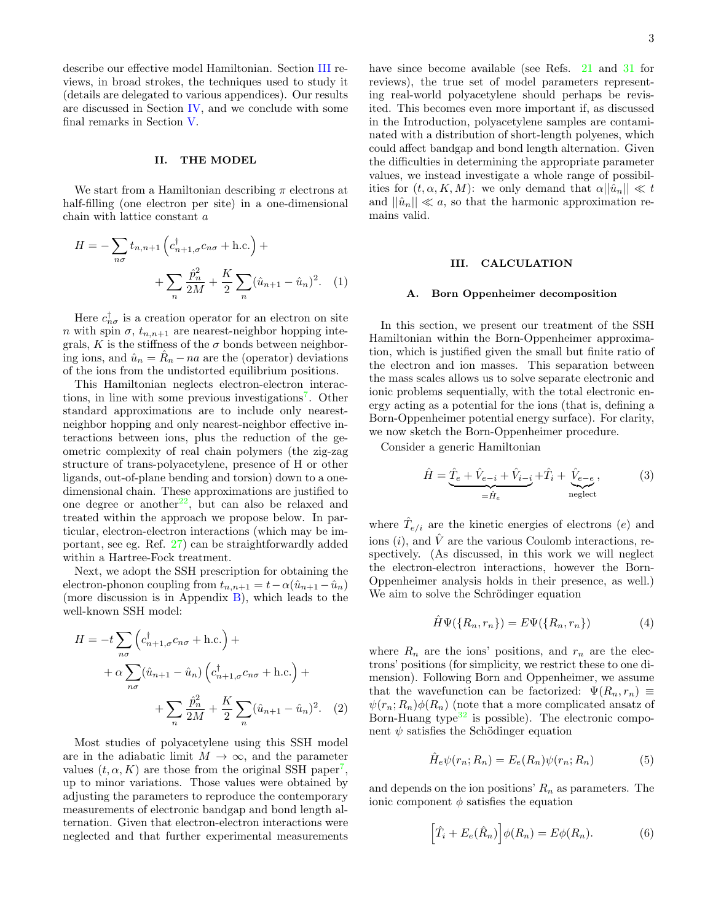describe our effective model Hamiltonian. Section [III](#page-2-1) reviews, in broad strokes, the techniques used to study it (details are delegated to various appendices). Our results are discussed in Section [IV,](#page-6-0) and we conclude with some final remarks in Section [V.](#page-11-0)

## <span id="page-2-0"></span>II. THE MODEL

We start from a Hamiltonian describing  $\pi$  electrons at half-filling (one electron per site) in a one-dimensional chain with lattice constant a

$$
H = -\sum_{n\sigma} t_{n,n+1} \left( c_{n+1,\sigma}^{\dagger} c_{n\sigma} + \text{h.c.} \right) +
$$

$$
+ \sum_{n} \frac{\hat{p}_n^2}{2M} + \frac{K}{2} \sum_{n} (\hat{u}_{n+1} - \hat{u}_n)^2. \quad (1)
$$

Here  $c_{n\sigma}^{\dagger}$  is a creation operator for an electron on site n with spin  $\sigma$ ,  $t_{n,n+1}$  are nearest-neighbor hopping integrals, K is the stiffness of the  $\sigma$  bonds between neighboring ions, and  $\hat{u}_n = \hat{R}_n - na$  are the (operator) deviations of the ions from the undistorted equilibrium positions.

This Hamiltonian neglects electron-electron interac-tions, in line with some previous investigations<sup>[7](#page-16-6)</sup>. Other standard approximations are to include only nearestneighbor hopping and only nearest-neighbor effective interactions between ions, plus the reduction of the geometric complexity of real chain polymers (the zig-zag structure of trans-polyacetylene, presence of H or other ligands, out-of-plane bending and torsion) down to a onedimensional chain. These approximations are justified to one degree or another<sup>[22](#page-17-2)</sup>, but can also be relaxed and treated within the approach we propose below. In particular, electron-electron interactions (which may be important, see eg. Ref. [27\)](#page-17-7) can be straightforwardly added within a Hartree-Fock treatment.

Next, we adopt the SSH prescription for obtaining the electron-phonon coupling from  $t_{n,n+1} = t - \alpha(\hat{u}_{n+1} - \hat{u}_n)$ (more discussion is in Appendix [B\)](#page-13-0), which leads to the well-known SSH model:

$$
H = -t \sum_{n\sigma} \left( c_{n+1,\sigma}^{\dagger} c_{n\sigma} + \text{h.c.} \right) +
$$

$$
+ \alpha \sum_{n\sigma} (\hat{u}_{n+1} - \hat{u}_n) \left( c_{n+1,\sigma}^{\dagger} c_{n\sigma} + \text{h.c.} \right) +
$$

$$
+ \sum_{n} \frac{\hat{p}_n^2}{2M} + \frac{K}{2} \sum_{n} (\hat{u}_{n+1} - \hat{u}_n)^2. \quad (2)
$$

Most studies of polyacetylene using this SSH model are in the adiabatic limit  $M \to \infty$ , and the parameter values  $(t, \alpha, K)$  are those from the original SSH paper<sup>[7](#page-16-6)</sup>, up to minor variations. Those values were obtained by adjusting the parameters to reproduce the contemporary measurements of electronic bandgap and bond length alternation. Given that electron-electron interactions were neglected and that further experimental measurements have since become available (see Refs. [21](#page-17-1) and [31](#page-17-11) for reviews), the true set of model parameters representing real-world polyacetylene should perhaps be revisited. This becomes even more important if, as discussed in the Introduction, polyacetylene samples are contaminated with a distribution of short-length polyenes, which could affect bandgap and bond length alternation. Given the difficulties in determining the appropriate parameter values, we instead investigate a whole range of possibilities for  $(t, \alpha, K, M)$ : we only demand that  $\alpha ||\hat{u}_n|| \ll t$ and  $||\hat{u}_n|| \ll a$ , so that the harmonic approximation remains valid.

### <span id="page-2-1"></span>III. CALCULATION

#### A. Born Oppenheimer decomposition

In this section, we present our treatment of the SSH Hamiltonian within the Born-Oppenheimer approximation, which is justified given the small but finite ratio of the electron and ion masses. This separation between the mass scales allows us to solve separate electronic and ionic problems sequentially, with the total electronic energy acting as a potential for the ions (that is, defining a Born-Oppenheimer potential energy surface). For clarity, we now sketch the Born-Oppenheimer procedure.

Consider a generic Hamiltonian

$$
\hat{H} = \underbrace{\hat{T}_e + \hat{V}_{e-i} + \hat{V}_{i-i}}_{=\hat{H}_e} + \hat{T}_i + \underbrace{\hat{V}_{e-e}}_{\text{neglect}},
$$
\n(3)

where  $\hat{T}_{e/i}$  are the kinetic energies of electrons  $(e)$  and ions  $(i)$ , and  $\hat{V}$  are the various Coulomb interactions, respectively. (As discussed, in this work we will neglect the electron-electron interactions, however the Born-Oppenheimer analysis holds in their presence, as well.) We aim to solve the Schrödinger equation

$$
\hat{H}\Psi(\lbrace R_n, r_n \rbrace) = E\Psi(\lbrace R_n, r_n \rbrace) \tag{4}
$$

<span id="page-2-2"></span>where  $R_n$  are the ions' positions, and  $r_n$  are the electrons' positions (for simplicity, we restrict these to one dimension). Following Born and Oppenheimer, we assume that the wavefunction can be factorized:  $\Psi(R_n, r_n) \equiv$  $\psi(r_n; R_n)\phi(R_n)$  (note that a more complicated ansatz of Born-Huang type $32$  is possible). The electronic component  $\psi$  satisfies the Schödinger equation

$$
\hat{H}_e \psi(r_n; R_n) = E_e(R_n) \psi(r_n; R_n)
$$
\n(5)

and depends on the ion positions'  $R_n$  as parameters. The ionic component  $\phi$  satisfies the equation

$$
\left[\hat{T}_i + E_e(\hat{R}_n)\right] \phi(R_n) = E\phi(R_n). \tag{6}
$$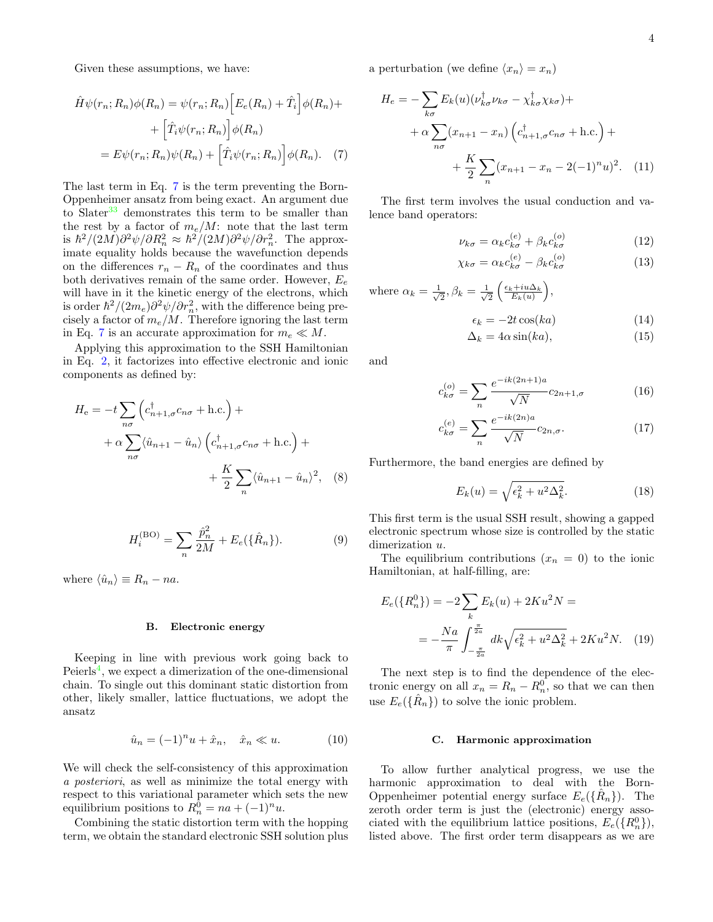Given these assumptions, we have:

$$
\hat{H}\psi(r_n; R_n)\phi(R_n) = \psi(r_n; R_n) \Big[E_e(R_n) + \hat{T}_i\Big]\phi(R_n) + \Big[\hat{T}_i\psi(r_n; R_n)\Big]\phi(R_n)
$$

$$
= E\psi(r_n; R_n)\psi(R_n) + \Big[\hat{T}_i\psi(r_n; R_n)\Big]\phi(R_n). \quad (7)
$$

The last term in Eq. [7](#page-3-0) is the term preventing the Born-Oppenheimer ansatz from being exact. An argument due to Slater<sup>[33](#page-17-13)</sup> demonstrates this term to be smaller than the rest by a factor of  $m_e/M$ : note that the last term is  $\hbar^2/(2M)\partial^2\psi/\partial R_n^2 \approx \hbar^2/(2M)\partial^2\psi/\partial r_n^2$ . The approximate equality holds because the wavefunction depends on the differences  $r_n - R_n$  of the coordinates and thus both derivatives remain of the same order. However,  $E_e$ will have in it the kinetic energy of the electrons, which is order  $\hbar^2/(2m_e)\partial^2\psi/\partial r_n^2$ , with the difference being precisely a factor of  $m_e/M$ . Therefore ignoring the last term in Eq. [7](#page-3-0) is an accurate approximation for  $m_e \ll M$ .

Applying this approximation to the SSH Hamiltonian in Eq. [2,](#page-2-2) it factorizes into effective electronic and ionic components as defined by:

$$
H_{e} = -t \sum_{n\sigma} \left( c_{n+1,\sigma}^{\dagger} c_{n\sigma} + \text{h.c.} \right) +
$$
  
+  $\alpha \sum_{n\sigma} \langle \hat{u}_{n+1} - \hat{u}_{n} \rangle \left( c_{n+1,\sigma}^{\dagger} c_{n\sigma} + \text{h.c.} \right) +$   
+  $\frac{K}{2} \sum_{n} \langle \hat{u}_{n+1} - \hat{u}_{n} \rangle^{2},$  (8)

$$
H_i^{(BO)} = \sum_n \frac{\hat{p}_n^2}{2M} + E_e(\{\hat{R}_n\}).
$$
 (9)

where  $\langle \hat{u}_n \rangle \equiv R_n - na$ .

## B. Electronic energy

Keeping in line with previous work going back to Peierls<sup>[4](#page-16-3)</sup>, we expect a dimerization of the one-dimensional chain. To single out this dominant static distortion from other, likely smaller, lattice fluctuations, we adopt the ansatz

$$
\hat{u}_n = (-1)^n u + \hat{x}_n, \quad \hat{x}_n \ll u. \tag{10}
$$

We will check the self-consistency of this approximation a posteriori, as well as minimize the total energy with respect to this variational parameter which sets the new equilibrium positions to  $R_n^0 = na + (-1)^n u$ .

Combining the static distortion term with the hopping term, we obtain the standard electronic SSH solution plus a perturbation (we define  $\langle x_n \rangle = x_n$ )

$$
H_e = -\sum_{k\sigma} E_k(u) (\nu_{k\sigma}^\dagger \nu_{k\sigma} - \chi_{k\sigma}^\dagger \chi_{k\sigma}) +
$$
  
+  $\alpha \sum_{n\sigma} (x_{n+1} - x_n) (c_{n+1,\sigma}^\dagger c_{n\sigma} + \text{h.c.}) +$   
+  $\frac{K}{2} \sum_n (x_{n+1} - x_n - 2(-1)^n u)^2.$  (11)

<span id="page-3-0"></span>The first term involves the usual conduction and valence band operators:

$$
\nu_{k\sigma} = \alpha_k c_{k\sigma}^{(e)} + \beta_k c_{k\sigma}^{(o)}
$$
 (12)

$$
\chi_{k\sigma} = \alpha_k c_{k\sigma}^{(e)} - \beta_k c_{k\sigma}^{(o)}
$$
 (13)

where 
$$
\alpha_k = \frac{1}{\sqrt{2}}, \beta_k = \frac{1}{\sqrt{2}} \left( \frac{\epsilon_k + i u \Delta_k}{E_k(u)} \right),
$$
  

$$
\epsilon_k = -2t \cos(ka)
$$
(14)

$$
\Delta_k = 4\alpha \sin(ka),\tag{15}
$$

and

$$
c_{k\sigma}^{(o)} = \sum_{n} \frac{e^{-ik(2n+1)a}}{\sqrt{N}} c_{2n+1,\sigma}
$$
 (16)

$$
c_{k\sigma}^{(e)} = \sum_{n} \frac{e^{-ik(2n)a}}{\sqrt{N}} c_{2n,\sigma}.
$$
 (17)

Furthermore, the band energies are defined by

c

<span id="page-3-1"></span>
$$
E_k(u) = \sqrt{\epsilon_k^2 + u^2 \Delta_k^2}.
$$
 (18)

This first term is the usual SSH result, showing a gapped electronic spectrum whose size is controlled by the static dimerization  $u$ .

The equilibrium contributions  $(x_n = 0)$  to the ionic Hamiltonian, at half-filling, are:

$$
E_e({R_n^0}) = -2\sum_k E_k(u) + 2Ku^2N =
$$
  
= 
$$
-\frac{Na}{\pi} \int_{-\frac{\pi}{2a}}^{\frac{\pi}{2a}} dk \sqrt{\epsilon_k^2 + u^2 \Delta_k^2} + 2Ku^2N.
$$
 (19)

The next step is to find the dependence of the electronic energy on all  $x_n = R_n - R_n^0$ , so that we can then use  $E_e(\{\hat{R}_n\})$  to solve the ionic problem.

### C. Harmonic approximation

To allow further analytical progress, we use the harmonic approximation to deal with the Born-Oppenheimer potential energy surface  $E_e({\hat{R}_n})$ . The zeroth order term is just the (electronic) energy associated with the equilibrium lattice positions,  $E_e({R_n^0})$ , listed above. The first order term disappears as we are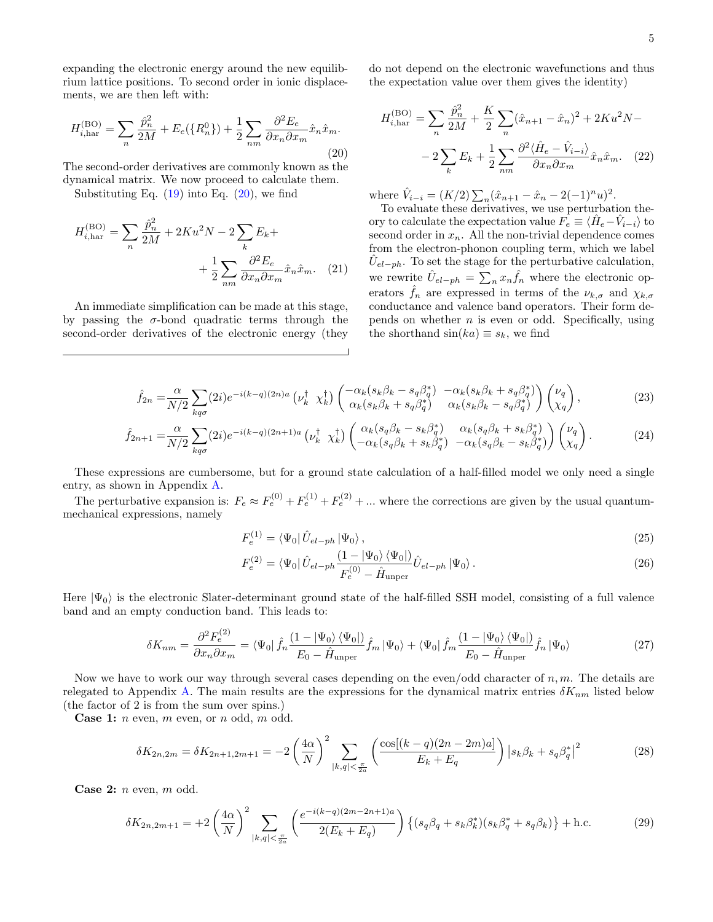expanding the electronic energy around the new equilibrium lattice positions. To second order in ionic displacements, we are then left with:

<span id="page-4-0"></span>
$$
H_{i,\text{har}}^{(\text{BO})} = \sum_{n} \frac{\hat{p}_n^2}{2M} + E_e(\{R_n^0\}) + \frac{1}{2} \sum_{nm} \frac{\partial^2 E_e}{\partial x_n \partial x_m} \hat{x}_n \hat{x}_m.
$$
\n(20)

The second-order derivatives are commonly known as the dynamical matrix. We now proceed to calculate them.

Substituting Eq.  $(19)$  into Eq.  $(20)$ , we find

$$
H_{i,\text{har}}^{(\text{BO})} = \sum_{n} \frac{\hat{p}_n^2}{2M} + 2Ku^2N - 2\sum_{k} E_k +
$$

$$
+ \frac{1}{2} \sum_{nm} \frac{\partial^2 E_e}{\partial x_n \partial x_m} \hat{x}_n \hat{x}_m. \quad (21)
$$

An immediate simplification can be made at this stage, by passing the  $\sigma$ -bond quadratic terms through the second-order derivatives of the electronic energy (they do not depend on the electronic wavefunctions and thus the expectation value over them gives the identity)

$$
H_{i,\text{har}}^{(\text{BO})} = \sum_{n} \frac{\hat{p}_n^2}{2M} + \frac{K}{2} \sum_{n} (\hat{x}_{n+1} - \hat{x}_n)^2 + 2Ku^2N -
$$

$$
-2\sum_{k} E_k + \frac{1}{2} \sum_{nm} \frac{\partial^2 \langle \hat{H}_e - \hat{V}_{i-i} \rangle}{\partial x_n \partial x_m} \hat{x}_n \hat{x}_m. \quad (22)
$$

where  $\hat{V}_{i-i} = (K/2) \sum_{n} (\hat{x}_{n+1} - \hat{x}_n - 2(-1)^n u)^2$ .

<span id="page-4-3"></span>To evaluate these derivatives, we use perturbation theory to calculate the expectation value  $\overrightarrow{F}_e \equiv \langle \hat{H}_e - \hat{V}_{i-i} \rangle$  to second order in  $x_n$ . All the non-trivial dependence comes from the electron-phonon coupling term, which we label  $\hat{U}_{el-ph}$ . To set the stage for the perturbative calculation, we rewrite  $\hat{U}_{el-ph} = \sum_{n} x_n \hat{f}_n$  where the electronic operators  $\hat{f}_n$  are expressed in terms of the  $\nu_{k,\sigma}$  and  $\chi_{k,\sigma}$ conductance and valence band operators. Their form depends on whether  $n$  is even or odd. Specifically, using the shorthand  $sin(ka) \equiv s_k$ , we find

$$
\hat{f}_{2n} = \frac{\alpha}{N/2} \sum_{kq\sigma} (2i) e^{-i(k-q)(2n)a} \left( \nu_k^{\dagger} \chi_k^{\dagger} \right) \begin{pmatrix} -\alpha_k (s_k \beta_k - s_q \beta_q^*) & -\alpha_k (s_k \beta_k + s_q \beta_q^*) \\ \alpha_k (s_k \beta_k + s_q \beta_q^*) & \alpha_k (s_k \beta_k - s_q \beta_q^*) \end{pmatrix} \begin{pmatrix} \nu_q \\ \chi_q \end{pmatrix},\tag{23}
$$

$$
\hat{f}_{2n+1} = \frac{\alpha}{N/2} \sum_{kq\sigma} (2i) e^{-i(k-q)(2n+1)a} \left( \nu_k^{\dagger} \chi_k^{\dagger} \right) \begin{pmatrix} \alpha_k (s_q \beta_k - s_k \beta_q^*) & \alpha_k (s_q \beta_k + s_k \beta_q^*) \\ -\alpha_k (s_q \beta_k + s_k \beta_q^*) & -\alpha_k (s_q \beta_k - s_k \beta_q^*) \end{pmatrix} \begin{pmatrix} \nu_q \\ \chi_q \end{pmatrix} . \tag{24}
$$

These expressions are cumbersome, but for a ground state calculation of a half-filled model we only need a single entry, as shown in Appendix [A.](#page-12-0)

The perturbative expansion is:  $F_e \approx F_e^{(0)} + F_e^{(1)} + F_e^{(2)} + \dots$  where the corrections are given by the usual quantummechanical expressions, namely

$$
F_e^{(1)} = \langle \Psi_0 | \hat{U}_{el-ph} | \Psi_0 \rangle, \tag{25}
$$

$$
F_e^{(2)} = \langle \Psi_0 | \hat{U}_{el-ph} \frac{(1 - |\Psi_0\rangle \langle \Psi_0|)}{F_e^{(0)} - \hat{H}_{\text{unper}}} \hat{U}_{el-ph} | \Psi_0 \rangle. \tag{26}
$$

Here  $|\Psi_0\rangle$  is the electronic Slater-determinant ground state of the half-filled SSH model, consisting of a full valence band and an empty conduction band. This leads to:

<span id="page-4-2"></span>
$$
\delta K_{nm} = \frac{\partial^2 F_e^{(2)}}{\partial x_n \partial x_m} = \langle \Psi_0 | \hat{f}_n \frac{(1 - |\Psi_0\rangle \langle \Psi_0|)}{E_0 - \hat{H}_{\text{unper}}} \hat{f}_m | \Psi_0 \rangle + \langle \Psi_0 | \hat{f}_m \frac{(1 - |\Psi_0\rangle \langle \Psi_0|)}{E_0 - \hat{H}_{\text{unper}}} \hat{f}_n | \Psi_0 \rangle \tag{27}
$$

Now we have to work our way through several cases depending on the even/odd character of  $n, m$ . The details are relegated to Appendix [A.](#page-12-0) The main results are the expressions for the dynamical matrix entries  $\delta K_{nm}$  listed below (the factor of 2 is from the sum over spins.)

**Case 1:**  $n$  even,  $m$  even, or  $n$  odd,  $m$  odd.

<span id="page-4-1"></span>
$$
\delta K_{2n,2m} = \delta K_{2n+1,2m+1} = -2\left(\frac{4\alpha}{N}\right)^2 \sum_{|k,q|<\frac{\pi}{2a}} \left(\frac{\cos[(k-q)(2n-2m)a]}{E_k+E_q}\right) \left|s_k\beta_k + s_q\beta_q^*\right|^2\tag{28}
$$

**Case 2:**  $n$  even,  $m$  odd.

$$
\delta K_{2n,2m+1} = +2\left(\frac{4\alpha}{N}\right)^2 \sum_{|k,q|<\frac{\pi}{2a}} \left(\frac{e^{-i(k-q)(2m-2n+1)a}}{2(E_k+E_q)}\right) \left\{ (s_q\beta_q + s_k\beta_k^*)(s_k\beta_q^* + s_q\beta_k) \right\} + \text{h.c.}
$$
(29)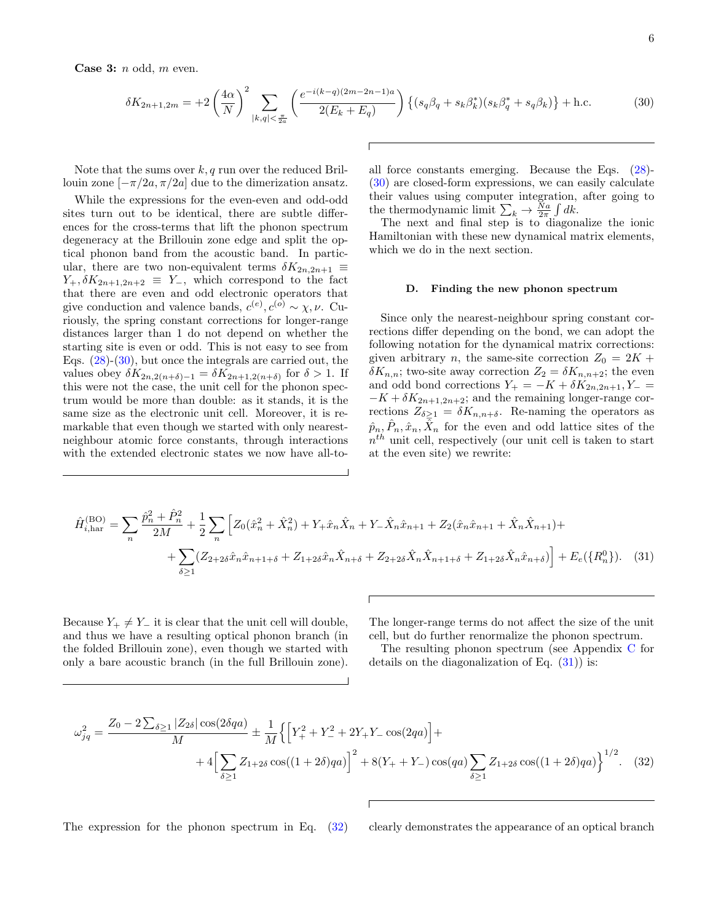**Case 3:**  $n$  odd,  $m$  even.

<span id="page-5-0"></span>
$$
\delta K_{2n+1,2m} = +2\left(\frac{4\alpha}{N}\right)^2 \sum_{|k,q|<\frac{\pi}{2a}} \left(\frac{e^{-i(k-q)(2m-2n-1)a}}{2(E_k+E_q)}\right) \left\{ (s_q\beta_q + s_k\beta_k^*)(s_k\beta_q^* + s_q\beta_k) \right\} + \text{h.c.}
$$
(30)

Note that the sums over  $k, q$  run over the reduced Brillouin zone  $[-\pi/2a, \pi/2a]$  due to the dimerization ansatz.

While the expressions for the even-even and odd-odd sites turn out to be identical, there are subtle differences for the cross-terms that lift the phonon spectrum degeneracy at the Brillouin zone edge and split the optical phonon band from the acoustic band. In particular, there are two non-equivalent terms  $\delta K_{2n,2n+1} \equiv$  $Y_+$ ,  $\delta K_{2n+1,2n+2} \equiv Y_-,$  which correspond to the fact that there are even and odd electronic operators that give conduction and valence bands,  $c^{(e)}$ ,  $c^{(o)} \sim \chi, \nu$ . Curiously, the spring constant corrections for longer-range distances larger than 1 do not depend on whether the starting site is even or odd. This is not easy to see from Eqs. [\(28\)](#page-4-1)-[\(30\)](#page-5-0), but once the integrals are carried out, the values obey  $\delta K_{2n,2(n+\delta)-1} = \delta K_{2n+1,2(n+\delta)}$  for  $\delta > 1$ . If this were not the case, the unit cell for the phonon spectrum would be more than double: as it stands, it is the same size as the electronic unit cell. Moreover, it is remarkable that even though we started with only nearestneighbour atomic force constants, through interactions with the extended electronic states we now have all-toall force constants emerging. Because the Eqs. [\(28\)](#page-4-1)- [\(30\)](#page-5-0) are closed-form expressions, we can easily calculate their values using computer integration, after going to the thermodynamic limit  $\sum_{k} \rightarrow \frac{N_a}{2\pi} \int dk$ .

The next and final step is to diagonalize the ionic Hamiltonian with these new dynamical matrix elements, which we do in the next section.

### D. Finding the new phonon spectrum

Since only the nearest-neighbour spring constant corrections differ depending on the bond, we can adopt the following notation for the dynamical matrix corrections: given arbitrary n, the same-site correction  $Z_0 = 2K +$  $\delta K_{n,n}$ ; two-site away correction  $Z_2 = \delta K_{n,n+2}$ ; the even and odd bond corrections  $Y_+ = -K + \delta K_{2n,2n+1}, Y_- =$  $-K + \delta K_{2n+1,2n+2}$ ; and the remaining longer-range corrections  $Z_{\delta \geq 1} = \delta K_{n,n+\delta}$ . Re-naming the operators as  $\hat{p}_n, \hat{P}_n, \hat{x}_n, \overline{\hat{X}}_n$  for the even and odd lattice sites of the  $n^{th}$  unit cell, respectively (our unit cell is taken to start at the even site) we rewrite:

$$
\hat{H}^{(\text{BO})}_{i,\text{har}} = \sum_{n} \frac{\hat{p}_n^2 + \hat{P}_n^2}{2M} + \frac{1}{2} \sum_{n} \left[ Z_0(\hat{x}_n^2 + \hat{X}_n^2) + Y_+ \hat{x}_n \hat{X}_n + Y_- \hat{X}_n \hat{x}_{n+1} + Z_2(\hat{x}_n \hat{x}_{n+1} + \hat{X}_n \hat{X}_{n+1}) + \sum_{\delta \ge 1} (Z_{2+2\delta} \hat{x}_n \hat{x}_{n+1+\delta} + Z_{1+2\delta} \hat{x}_n \hat{X}_{n+\delta} + Z_{2+2\delta} \hat{X}_n \hat{X}_{n+1+\delta} + Z_{1+2\delta} \hat{X}_n \hat{x}_{n+\delta}) \right] + E_e(\{R_n^0\})
$$
 (31)

Because  $Y_+ \neq Y_-$  it is clear that the unit cell will double, and thus we have a resulting optical phonon branch (in the folded Brillouin zone), even though we started with only a bare acoustic branch (in the full Brillouin zone). <span id="page-5-1"></span>The longer-range terms do not affect the size of the unit cell, but do further renormalize the phonon spectrum.

<span id="page-5-2"></span>The resulting phonon spectrum (see Appendix [C](#page-15-0) for details on the diagonalization of Eq.  $(31)$  is:

$$
\omega_{jq}^2 = \frac{Z_0 - 2\sum_{\delta \ge 1} |Z_{2\delta}| \cos(2\delta qa)}{M} \pm \frac{1}{M} \Big\{ \Big[ Y_+^2 + Y_-^2 + 2Y_+ Y_- \cos(2qa) \Big] + \\ + 4 \Big[ \sum_{\delta \ge 1} Z_{1+2\delta} \cos((1+2\delta)qa) \Big]^2 + 8(Y_+ + Y_-) \cos(qa) \sum_{\delta \ge 1} Z_{1+2\delta} \cos((1+2\delta)qa) \Big\}^{1/2} . \tag{32}
$$

The expression for the phonon spectrum in Eq. [\(32\)](#page-5-2) clearly demonstrates the appearance of an optical branch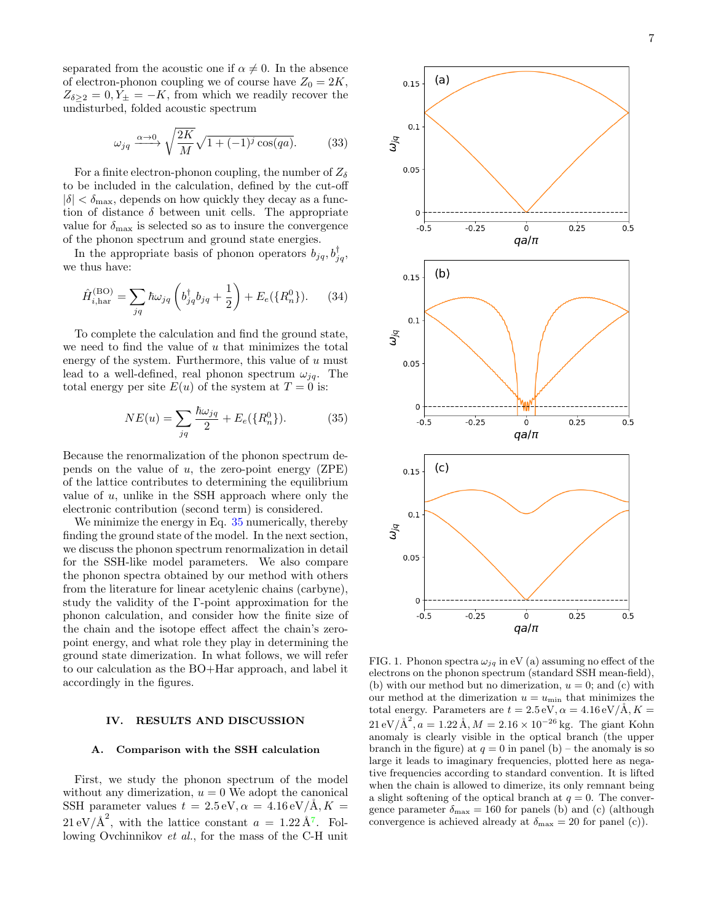separated from the acoustic one if  $\alpha \neq 0$ . In the absence of electron-phonon coupling we of course have  $Z_0 = 2K$ ,  $Z_{\delta \geq 2} = 0, Y_{\pm} = -K$ , from which we readily recover the undisturbed, folded acoustic spectrum

<span id="page-6-2"></span>
$$
\omega_{jq} \xrightarrow{\alpha \to 0} \sqrt{\frac{2K}{M}} \sqrt{1 + (-1)^j \cos(qa)}.
$$
 (33)

For a finite electron-phonon coupling, the number of  $Z_{\delta}$ to be included in the calculation, defined by the cut-off  $|\delta| < \delta_{\text{max}}$ , depends on how quickly they decay as a function of distance  $\delta$  between unit cells. The appropriate value for  $\delta_{\text{max}}$  is selected so as to insure the convergence of the phonon spectrum and ground state energies.

In the appropriate basis of phonon operators  $b_{jq}, b_{jq}^{\dagger}$ , we thus have:

$$
\hat{H}_{i,\text{har}}^{(\text{BO})} = \sum_{jq} \hbar \omega_{jq} \left( b_{jq}^{\dagger} b_{jq} + \frac{1}{2} \right) + E_e(\{R_n^0\}). \tag{34}
$$

To complete the calculation and find the ground state, we need to find the value of  $u$  that minimizes the total energy of the system. Furthermore, this value of  $u$  must lead to a well-defined, real phonon spectrum  $\omega_{ia}$ . The total energy per site  $E(u)$  of the system at  $T = 0$  is:

<span id="page-6-1"></span>
$$
NE(u) = \sum_{jq} \frac{\hbar \omega_{jq}}{2} + E_e({R_n^0}).
$$
 (35)

Because the renormalization of the phonon spectrum depends on the value of  $u$ , the zero-point energy (ZPE) of the lattice contributes to determining the equilibrium value of  $u$ , unlike in the SSH approach where only the electronic contribution (second term) is considered.

We minimize the energy in Eq. [35](#page-6-1) numerically, thereby finding the ground state of the model. In the next section, we discuss the phonon spectrum renormalization in detail for the SSH-like model parameters. We also compare the phonon spectra obtained by our method with others from the literature for linear acetylenic chains (carbyne), study the validity of the Γ-point approximation for the phonon calculation, and consider how the finite size of the chain and the isotope effect affect the chain's zeropoint energy, and what role they play in determining the ground state dimerization. In what follows, we will refer to our calculation as the BO+Har approach, and label it accordingly in the figures.

### <span id="page-6-0"></span>IV. RESULTS AND DISCUSSION

# A. Comparison with the SSH calculation

First, we study the phonon spectrum of the model without any dimerization,  $u = 0$  We adopt the canonical SSH parameter values  $t = 2.5 \text{ eV}, \alpha = 4.16 \text{ eV/A}, K =$  $21 \text{ eV}/\text{\AA}^2$ , with the lattice constant  $a = 1.22 \text{ Å}^7$  $a = 1.22 \text{ Å}^7$ . Following Ovchinnikov et al., for the mass of the C-H unit





 $(a)$ 

 $0.15$ 

 $0.1$ 

 $0.05$ 

 $\omega_{\textit{\text{jq}}}$ 

<span id="page-6-3"></span>FIG. 1. Phonon spectra  $\omega_{jq}$  in eV (a) assuming no effect of the electrons on the phonon spectrum (standard SSH mean-field), (b) with our method but no dimerization,  $u = 0$ ; and (c) with our method at the dimerization  $u = u_{\text{min}}$  that minimizes the total energy. Parameters are  $t = 2.5 \text{ eV}, \alpha = 4.16 \text{ eV/A}, K =$  $21 \,\mathrm{eV} / \text{\AA}^2$ ,  $a = 1.22 \,\text{\AA}, M = 2.16 \times 10^{-26} \,\text{kg}$ . The giant Kohn anomaly is clearly visible in the optical branch (the upper branch in the figure) at  $q = 0$  in panel (b) – the anomaly is so large it leads to imaginary frequencies, plotted here as negative frequencies according to standard convention. It is lifted when the chain is allowed to dimerize, its only remnant being a slight softening of the optical branch at  $q = 0$ . The convergence parameter  $\delta_{\text{max}} = 160$  for panels (b) and (c) (although convergence is achieved already at  $\delta_{\text{max}} = 20$  for panel (c)).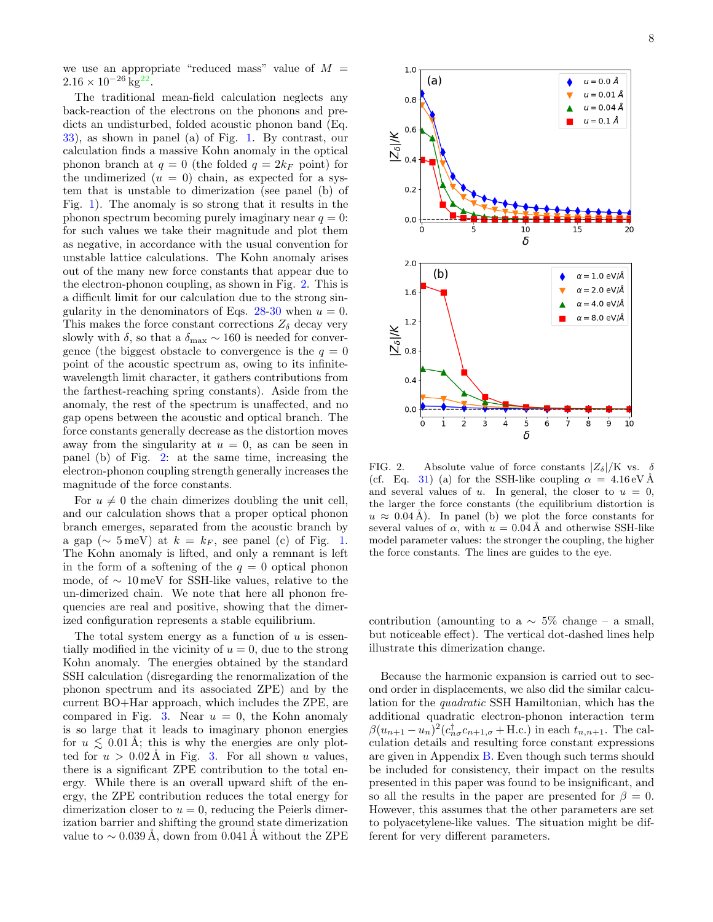we use an appropriate "reduced mass" value of  $M =$  $2.16 \times 10^{-26}$  kg<sup>[22](#page-17-2)</sup>.

The traditional mean-field calculation neglects any back-reaction of the electrons on the phonons and predicts an undisturbed, folded acoustic phonon band (Eq. [33\)](#page-6-2), as shown in panel (a) of Fig. [1.](#page-6-3) By contrast, our calculation finds a massive Kohn anomaly in the optical phonon branch at  $q = 0$  (the folded  $q = 2k_F$  point) for the undimerized  $(u = 0)$  chain, as expected for a system that is unstable to dimerization (see panel (b) of Fig. [1\)](#page-6-3). The anomaly is so strong that it results in the phonon spectrum becoming purely imaginary near  $q = 0$ : for such values we take their magnitude and plot them as negative, in accordance with the usual convention for unstable lattice calculations. The Kohn anomaly arises out of the many new force constants that appear due to the electron-phonon coupling, as shown in Fig. [2.](#page-7-0) This is a difficult limit for our calculation due to the strong sin-gularity in the denominators of Eqs. [28-](#page-4-1)[30](#page-5-0) when  $u = 0$ . This makes the force constant corrections  $Z_{\delta}$  decay very slowly with  $\delta$ , so that a  $\delta_{\text{max}} \sim 160$  is needed for convergence (the biggest obstacle to convergence is the  $q = 0$ point of the acoustic spectrum as, owing to its infinitewavelength limit character, it gathers contributions from the farthest-reaching spring constants). Aside from the anomaly, the rest of the spectrum is unaffected, and no gap opens between the acoustic and optical branch. The force constants generally decrease as the distortion moves away from the singularity at  $u = 0$ , as can be seen in panel (b) of Fig. [2:](#page-7-0) at the same time, increasing the electron-phonon coupling strength generally increases the magnitude of the force constants.

For  $u \neq 0$  the chain dimerizes doubling the unit cell, and our calculation shows that a proper optical phonon branch emerges, separated from the acoustic branch by a gap ( $\sim 5 \,\text{meV}$ ) at  $k = k_F$ , see panel (c) of Fig. [1.](#page-6-3) The Kohn anomaly is lifted, and only a remnant is left in the form of a softening of the  $q = 0$  optical phonon mode, of  $\sim 10 \,\text{meV}$  for SSH-like values, relative to the un-dimerized chain. We note that here all phonon frequencies are real and positive, showing that the dimerized configuration represents a stable equilibrium.

The total system energy as a function of  $u$  is essentially modified in the vicinity of  $u = 0$ , due to the strong Kohn anomaly. The energies obtained by the standard SSH calculation (disregarding the renormalization of the phonon spectrum and its associated ZPE) and by the current BO+Har approach, which includes the ZPE, are compared in Fig. [3.](#page-8-0) Near  $u = 0$ , the Kohn anomaly is so large that it leads to imaginary phonon energies for  $u \leq 0.01$  Å; this is why the energies are only plotted for  $u > 0.02$  Å in Fig. [3.](#page-8-0) For all shown u values, there is a significant ZPE contribution to the total energy. While there is an overall upward shift of the energy, the ZPE contribution reduces the total energy for dimerization closer to  $u = 0$ , reducing the Peierls dimerization barrier and shifting the ground state dimerization value to  $\sim$  0.039 A, down from 0.041 A without the ZPE



<span id="page-7-0"></span>FIG. 2. Absolute value of force constants  $|Z_{\delta}|/K$  vs. (cf. Eq. [31\)](#page-5-1) (a) for the SSH-like coupling  $\alpha = 4.16 \,\mathrm{eV} \,\mathrm{\AA}$ and several values of u. In general, the closer to  $u = 0$ , the larger the force constants (the equilibrium distortion is  $u \approx 0.04$  Å). In panel (b) we plot the force constants for several values of  $\alpha$ , with  $u = 0.04$  Å and otherwise SSH-like model parameter values: the stronger the coupling, the higher the force constants. The lines are guides to the eye.

contribution (amounting to a  $\sim$  5% change – a small, but noticeable effect). The vertical dot-dashed lines help illustrate this dimerization change.

Because the harmonic expansion is carried out to second order in displacements, we also did the similar calculation for the quadratic SSH Hamiltonian, which has the additional quadratic electron-phonon interaction term  $\beta(u_{n+1}-u_n)^2(c_{n\sigma}^{\dagger}c_{n+1,\sigma}+\text{H.c.})$  in each  $t_{n,n+1}$ . The calculation details and resulting force constant expressions are given in Appendix [B.](#page-13-0) Even though such terms should be included for consistency, their impact on the results presented in this paper was found to be insignificant, and so all the results in the paper are presented for  $\beta = 0$ . However, this assumes that the other parameters are set to polyacetylene-like values. The situation might be different for very different parameters.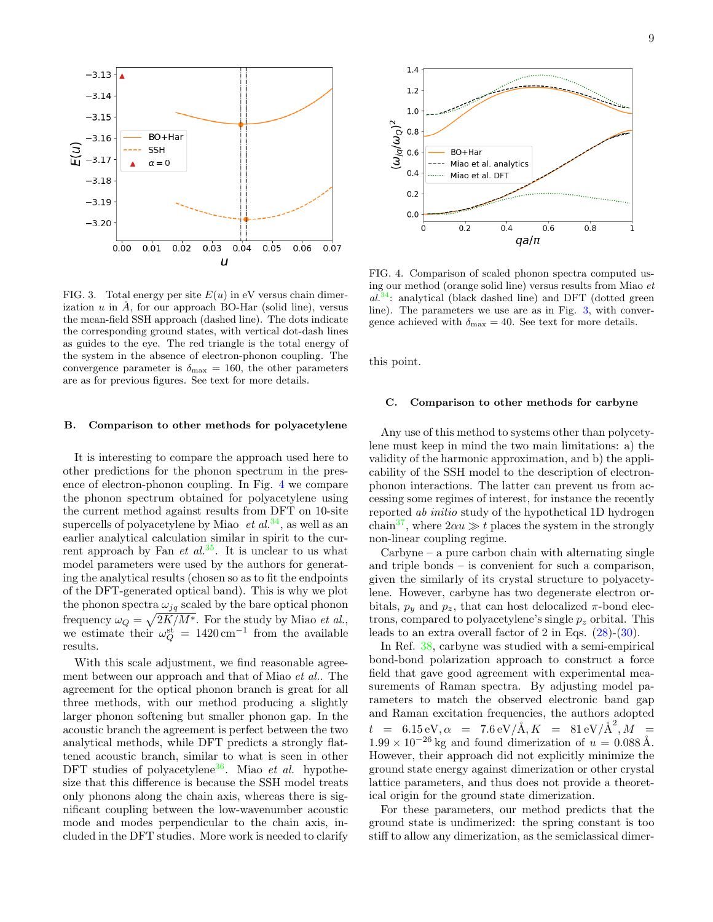

<span id="page-8-0"></span>FIG. 3. Total energy per site  $E(u)$  in eV versus chain dimerization  $u$  in  $\tilde{A}$ , for our approach BO-Har (solid line), versus the mean-field SSH approach (dashed line). The dots indicate the corresponding ground states, with vertical dot-dash lines as guides to the eye. The red triangle is the total energy of the system in the absence of electron-phonon coupling. The convergence parameter is  $\delta_{\text{max}} = 160$ , the other parameters are as for previous figures. See text for more details.

# B. Comparison to other methods for polyacetylene

It is interesting to compare the approach used here to other predictions for the phonon spectrum in the presence of electron-phonon coupling. In Fig. [4](#page-8-1) we compare the phonon spectrum obtained for polyacetylene using the current method against results from DFT on 10-site supercells of polyacetylene by Miao  $et al.<sup>34</sup>$  $et al.<sup>34</sup>$  $et al.<sup>34</sup>$ , as well as an earlier analytical calculation similar in spirit to the current approach by Fan et  $al^{35}$  $al^{35}$  $al^{35}$ . It is unclear to us what model parameters were used by the authors for generating the analytical results (chosen so as to fit the endpoints of the DFT-generated optical band). This is why we plot the phonon spectra  $\omega_{jq}$  scaled by the bare optical phonon frequency  $\omega_Q = \sqrt{2K/M^*}$ . For the study by Miao *et al.*, we estimate their  $\omega_Q^{\text{st}} = 1420 \text{ cm}^{-1}$  from the available results.

With this scale adjustment, we find reasonable agreement between our approach and that of Miao et al.. The agreement for the optical phonon branch is great for all three methods, with our method producing a slightly larger phonon softening but smaller phonon gap. In the acoustic branch the agreement is perfect between the two analytical methods, while DFT predicts a strongly flattened acoustic branch, similar to what is seen in other DFT studies of polyacetylene<sup>[36](#page-17-16)</sup>. Miao *et al.* hypothesize that this difference is because the SSH model treats only phonons along the chain axis, whereas there is significant coupling between the low-wavenumber acoustic mode and modes perpendicular to the chain axis, included in the DFT studies. More work is needed to clarify



<span id="page-8-1"></span>FIG. 4. Comparison of scaled phonon spectra computed using our method (orange solid line) versus results from Miao et  $al^{34}$  $al^{34}$  $al^{34}$ : analytical (black dashed line) and DFT (dotted green line). The parameters we use are as in Fig. [3,](#page-8-0) with convergence achieved with  $\delta_{\text{max}} = 40$ . See text for more details.

this point.

### C. Comparison to other methods for carbyne

Any use of this method to systems other than polycetylene must keep in mind the two main limitations: a) the validity of the harmonic approximation, and b) the applicability of the SSH model to the description of electronphonon interactions. The latter can prevent us from accessing some regimes of interest, for instance the recently reported ab initio study of the hypothetical 1D hydrogen chain<sup>[37](#page-17-17)</sup>, where  $2\alpha u \gg t$  places the system in the strongly non-linear coupling regime.

 $Carb$  – a pure carbon chain with alternating single and triple bonds – is convenient for such a comparison, given the similarly of its crystal structure to polyacetylene. However, carbyne has two degenerate electron orbitals,  $p_y$  and  $p_z$ , that can host delocalized  $\pi$ -bond electrons, compared to polyacetylene's single  $p<sub>z</sub>$  orbital. This leads to an extra overall factor of 2 in Eqs. [\(28\)](#page-4-1)-[\(30\)](#page-5-0).

In Ref. [38,](#page-17-18) carbyne was studied with a semi-empirical bond-bond polarization approach to construct a force field that gave good agreement with experimental measurements of Raman spectra. By adjusting model parameters to match the observed electronic band gap and Raman excitation frequencies, the authors adopted  $t$  = 6.15 eV,  $\alpha$  = 7.6 eV/Å,  $K$  = 81 eV/Å<sup>2</sup>,  $M$  =  $1.99 \times 10^{-26}$  kg and found dimerization of  $u = 0.088$  Å. However, their approach did not explicitly minimize the ground state energy against dimerization or other crystal lattice parameters, and thus does not provide a theoretical origin for the ground state dimerization.

For these parameters, our method predicts that the ground state is undimerized: the spring constant is too stiff to allow any dimerization, as the semiclassical dimer-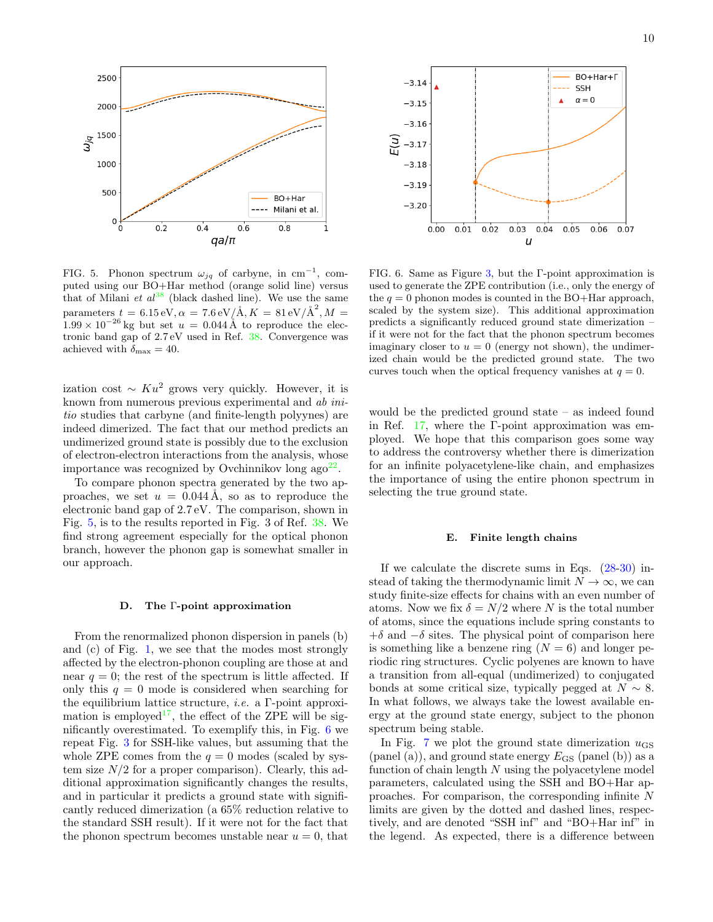

<span id="page-9-0"></span>FIG. 5. Phonon spectrum  $\omega_{jq}$  of carbyne, in cm<sup>-1</sup>, computed using our BO+Har method (orange solid line) versus that of Milani et  $al^{38}$  $al^{38}$  $al^{38}$  (black dashed line). We use the same parameters  $t = 6.15 \,\text{eV}, \alpha = 7.6 \,\text{eV/A}, K = 81 \,\text{eV/A}^2, M = 1$  $1.99 \times 10^{-26}$  kg but set  $u = 0.044$  Å to reproduce the electronic band gap of 2.7 eV used in Ref. [38.](#page-17-18) Convergence was achieved with  $\delta_{\text{max}} = 40$ .

ization cost  $\sim Ku^2$  grows very quickly. However, it is known from numerous previous experimental and ab initio studies that carbyne (and finite-length polyynes) are indeed dimerized. The fact that our method predicts an undimerized ground state is possibly due to the exclusion of electron-electron interactions from the analysis, whose importance was recognized by Ovchinnikov long  $ago^{22}$  $ago^{22}$  $ago^{22}$ .

To compare phonon spectra generated by the two approaches, we set  $u = 0.044$  Å, so as to reproduce the electronic band gap of 2.7 eV. The comparison, shown in Fig. [5,](#page-9-0) is to the results reported in Fig. 3 of Ref. [38.](#page-17-18) We find strong agreement especially for the optical phonon branch, however the phonon gap is somewhat smaller in our approach.

### D. The Γ-point approximation

From the renormalized phonon dispersion in panels (b) and (c) of Fig. [1,](#page-6-3) we see that the modes most strongly affected by the electron-phonon coupling are those at and near  $q = 0$ ; the rest of the spectrum is little affected. If only this  $q = 0$  mode is considered when searching for the equilibrium lattice structure, i.e. a Γ-point approxi-mation is employed<sup>[17](#page-16-16)</sup>, the effect of the ZPE will be significantly overestimated. To exemplify this, in Fig. [6](#page-9-1) we repeat Fig. [3](#page-8-0) for SSH-like values, but assuming that the whole ZPE comes from the  $q = 0$  modes (scaled by system size  $N/2$  for a proper comparison). Clearly, this additional approximation significantly changes the results, and in particular it predicts a ground state with significantly reduced dimerization (a 65% reduction relative to the standard SSH result). If it were not for the fact that the phonon spectrum becomes unstable near  $u = 0$ , that



<span id="page-9-1"></span>FIG. 6. Same as Figure [3,](#page-8-0) but the Γ-point approximation is used to generate the ZPE contribution (i.e., only the energy of the  $q = 0$  phonon modes is counted in the BO+Har approach, scaled by the system size). This additional approximation predicts a significantly reduced ground state dimerization – if it were not for the fact that the phonon spectrum becomes imaginary closer to  $u = 0$  (energy not shown), the undimerized chain would be the predicted ground state. The two curves touch when the optical frequency vanishes at  $q = 0$ .

would be the predicted ground state – as indeed found in Ref. [17,](#page-16-16) where the  $\Gamma$ -point approximation was employed. We hope that this comparison goes some way to address the controversy whether there is dimerization for an infinite polyacetylene-like chain, and emphasizes the importance of using the entire phonon spectrum in selecting the true ground state.

# E. Finite length chains

If we calculate the discrete sums in Eqs. [\(28](#page-4-1)[-30\)](#page-5-0) instead of taking the thermodynamic limit  $N \to \infty$ , we can study finite-size effects for chains with an even number of atoms. Now we fix  $\delta = N/2$  where N is the total number of atoms, since the equations include spring constants to  $+\delta$  and  $-\delta$  sites. The physical point of comparison here is something like a benzene ring  $(N = 6)$  and longer periodic ring structures. Cyclic polyenes are known to have a transition from all-equal (undimerized) to conjugated bonds at some critical size, typically pegged at  $N \sim 8$ . In what follows, we always take the lowest available energy at the ground state energy, subject to the phonon spectrum being stable.

In Fig. [7](#page-10-0) we plot the ground state dimerization  $u_{\text{GS}}$ (panel (a)), and ground state energy  $E_{\text{GS}}$  (panel (b)) as a function of chain length  $N$  using the polyacetylene model parameters, calculated using the SSH and BO+Har approaches. For comparison, the corresponding infinite N limits are given by the dotted and dashed lines, respectively, and are denoted "SSH inf" and "BO+Har inf" in the legend. As expected, there is a difference between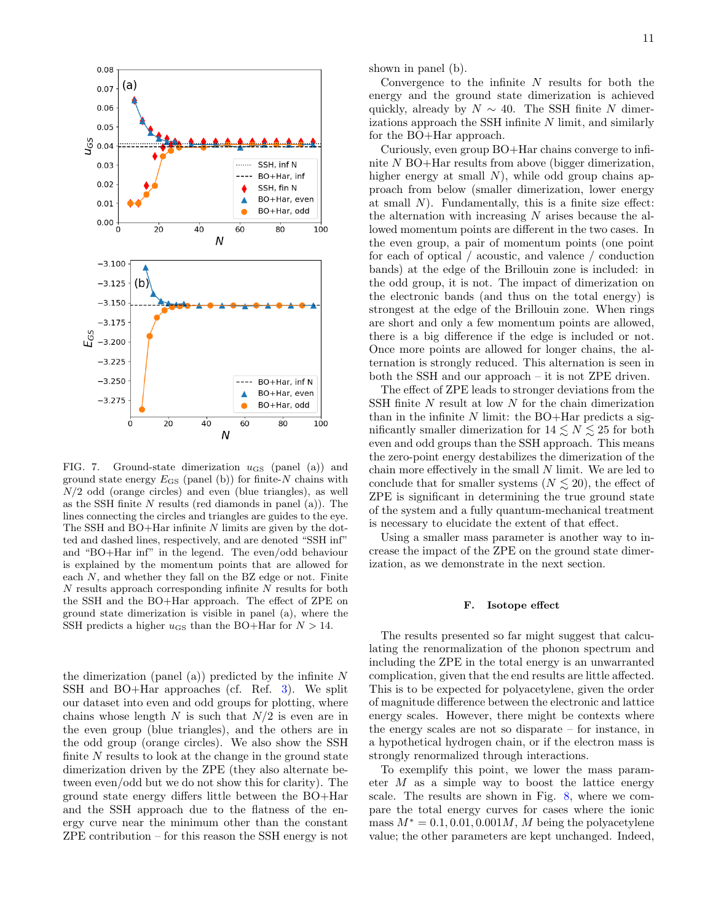

<span id="page-10-0"></span>FIG. 7. Ground-state dimerization  $u_{\text{GS}}$  (panel (a)) and ground state energy  $E_{\text{GS}}$  (panel (b)) for finite-N chains with  $N/2$  odd (orange circles) and even (blue triangles), as well as the SSH finite  $N$  results (red diamonds in panel (a)). The lines connecting the circles and triangles are guides to the eye. The SSH and BO+Har infinite N limits are given by the dotted and dashed lines, respectively, and are denoted "SSH inf" and "BO+Har inf" in the legend. The even/odd behaviour is explained by the momentum points that are allowed for each  $N$ , and whether they fall on the BZ edge or not. Finite  $N$  results approach corresponding infinite  $N$  results for both the SSH and the BO+Har approach. The effect of ZPE on ground state dimerization is visible in panel (a), where the SSH predicts a higher  $u_{\text{GS}}$  than the BO+Har for  $N > 14$ .

the dimerization (panel (a)) predicted by the infinite  $N$ SSH and BO+Har approaches (cf. Ref. [3\)](#page-8-0). We split our dataset into even and odd groups for plotting, where chains whose length  $N$  is such that  $N/2$  is even are in the even group (blue triangles), and the others are in the odd group (orange circles). We also show the SSH finite  $N$  results to look at the change in the ground state dimerization driven by the ZPE (they also alternate between even/odd but we do not show this for clarity). The ground state energy differs little between the BO+Har and the SSH approach due to the flatness of the energy curve near the minimum other than the constant ZPE contribution – for this reason the SSH energy is not shown in panel (b).

Convergence to the infinite  $N$  results for both the energy and the ground state dimerization is achieved quickly, already by  $N \sim 40$ . The SSH finite N dimerizations approach the SSH infinite N limit, and similarly for the BO+Har approach.

Curiously, even group BO+Har chains converge to infinite N BO+Har results from above (bigger dimerization, higher energy at small  $N$ ), while odd group chains approach from below (smaller dimerization, lower energy at small  $N$ ). Fundamentally, this is a finite size effect: the alternation with increasing  $N$  arises because the allowed momentum points are different in the two cases. In the even group, a pair of momentum points (one point for each of optical / acoustic, and valence / conduction bands) at the edge of the Brillouin zone is included: in the odd group, it is not. The impact of dimerization on the electronic bands (and thus on the total energy) is strongest at the edge of the Brillouin zone. When rings are short and only a few momentum points are allowed, there is a big difference if the edge is included or not. Once more points are allowed for longer chains, the alternation is strongly reduced. This alternation is seen in both the SSH and our approach – it is not ZPE driven.

The effect of ZPE leads to stronger deviations from the SSH finite N result at low N for the chain dimerization than in the infinite  $N$  limit: the BO+Har predicts a significantly smaller dimerization for  $14 \leq N \leq 25$  for both even and odd groups than the SSH approach. This means the zero-point energy destabilizes the dimerization of the chain more effectively in the small N limit. We are led to conclude that for smaller systems ( $N \leq 20$ ), the effect of ZPE is significant in determining the true ground state of the system and a fully quantum-mechanical treatment is necessary to elucidate the extent of that effect.

Using a smaller mass parameter is another way to increase the impact of the ZPE on the ground state dimerization, as we demonstrate in the next section.

### F. Isotope effect

The results presented so far might suggest that calculating the renormalization of the phonon spectrum and including the ZPE in the total energy is an unwarranted complication, given that the end results are little affected. This is to be expected for polyacetylene, given the order of magnitude difference between the electronic and lattice energy scales. However, there might be contexts where the energy scales are not so disparate – for instance, in a hypothetical hydrogen chain, or if the electron mass is strongly renormalized through interactions.

To exemplify this point, we lower the mass parameter  $M$  as a simple way to boost the lattice energy scale. The results are shown in Fig. [8,](#page-11-1) where we compare the total energy curves for cases where the ionic mass  $M^* = 0.1, 0.01, 0.001M$ , M being the polyacetylene value; the other parameters are kept unchanged. Indeed,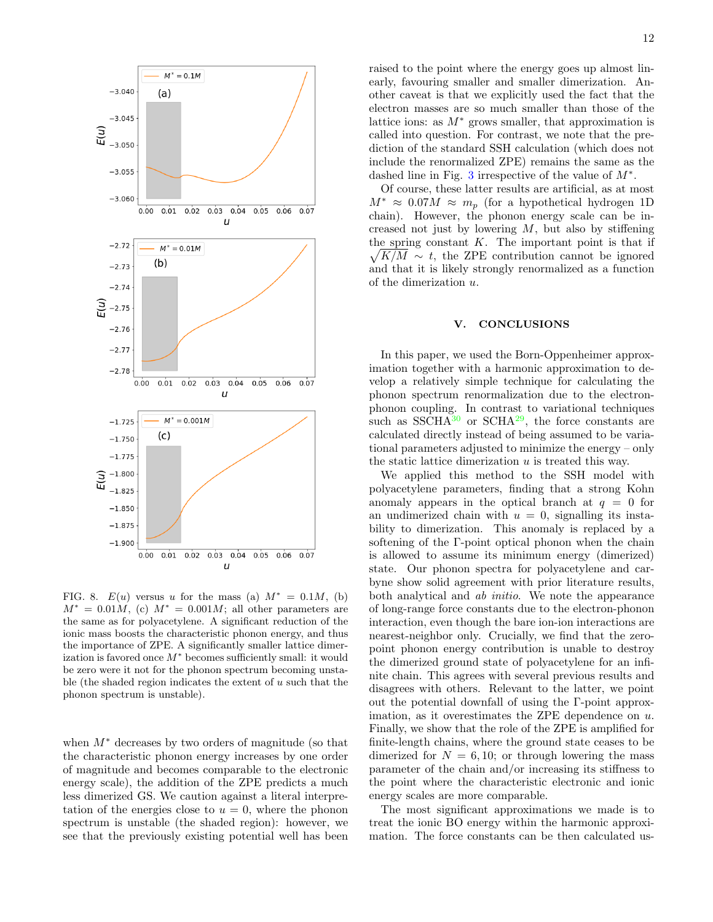

<span id="page-11-1"></span>FIG. 8.  $E(u)$  versus u for the mass (a)  $M^* = 0.1M$ , (b)  $M^* = 0.01M$ , (c)  $M^* = 0.001M$ ; all other parameters are the same as for polyacetylene. A significant reduction of the ionic mass boosts the characteristic phonon energy, and thus the importance of ZPE. A significantly smaller lattice dimerization is favored once  $M^*$  becomes sufficiently small: it would be zero were it not for the phonon spectrum becoming unstable (the shaded region indicates the extent of  $u$  such that the phonon spectrum is unstable).

when  $M^*$  decreases by two orders of magnitude (so that the characteristic phonon energy increases by one order of magnitude and becomes comparable to the electronic energy scale), the addition of the ZPE predicts a much less dimerized GS. We caution against a literal interpretation of the energies close to  $u = 0$ , where the phonon spectrum is unstable (the shaded region): however, we see that the previously existing potential well has been raised to the point where the energy goes up almost linearly, favouring smaller and smaller dimerization. Another caveat is that we explicitly used the fact that the electron masses are so much smaller than those of the lattice ions: as  $M^*$  grows smaller, that approximation is called into question. For contrast, we note that the prediction of the standard SSH calculation (which does not include the renormalized ZPE) remains the same as the dashed line in Fig. [3](#page-8-0) irrespective of the value of  $M^*$ .

Of course, these latter results are artificial, as at most  $M^* \approx 0.07M \approx m_p$  (for a hypothetical hydrogen 1D) chain). However, the phonon energy scale can be increased not just by lowering  $M$ , but also by stiffening the spring constant  $K$ . The important point is that if  $\sqrt{K/M} \sim t$ , the ZPE contribution cannot be ignored and that it is likely strongly renormalized as a function of the dimerization u.

# <span id="page-11-0"></span>V. CONCLUSIONS

In this paper, we used the Born-Oppenheimer approximation together with a harmonic approximation to develop a relatively simple technique for calculating the phonon spectrum renormalization due to the electronphonon coupling. In contrast to variational techniques such as SSCH $A^{30}$  $A^{30}$  $A^{30}$  or SCH $A^{29}$  $A^{29}$  $A^{29}$ , the force constants are calculated directly instead of being assumed to be variational parameters adjusted to minimize the energy – only the static lattice dimerization  $u$  is treated this way.

We applied this method to the SSH model with polyacetylene parameters, finding that a strong Kohn anomaly appears in the optical branch at  $q = 0$  for an undimerized chain with  $u = 0$ , signalling its instability to dimerization. This anomaly is replaced by a softening of the Γ-point optical phonon when the chain is allowed to assume its minimum energy (dimerized) state. Our phonon spectra for polyacetylene and carbyne show solid agreement with prior literature results, both analytical and ab initio. We note the appearance of long-range force constants due to the electron-phonon interaction, even though the bare ion-ion interactions are nearest-neighbor only. Crucially, we find that the zeropoint phonon energy contribution is unable to destroy the dimerized ground state of polyacetylene for an infinite chain. This agrees with several previous results and disagrees with others. Relevant to the latter, we point out the potential downfall of using the Γ-point approximation, as it overestimates the ZPE dependence on u. Finally, we show that the role of the ZPE is amplified for finite-length chains, where the ground state ceases to be dimerized for  $N = 6, 10$ ; or through lowering the mass parameter of the chain and/or increasing its stiffness to the point where the characteristic electronic and ionic energy scales are more comparable.

The most significant approximations we made is to treat the ionic BO energy within the harmonic approximation. The force constants can be then calculated us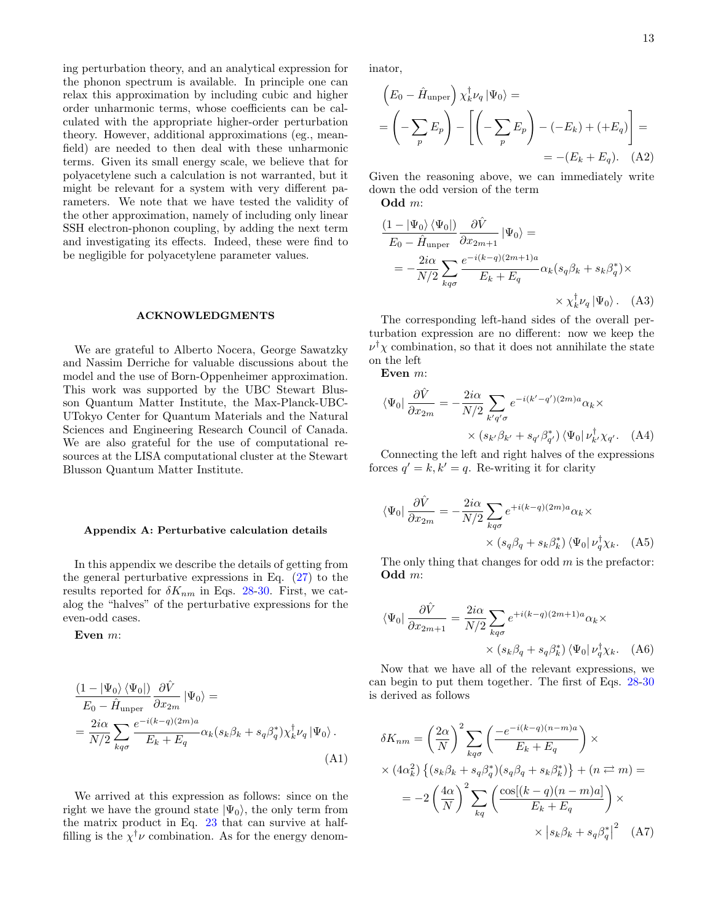ing perturbation theory, and an analytical expression for the phonon spectrum is available. In principle one can relax this approximation by including cubic and higher order unharmonic terms, whose coefficients can be calculated with the appropriate higher-order perturbation theory. However, additional approximations (eg., meanfield) are needed to then deal with these unharmonic terms. Given its small energy scale, we believe that for polyacetylene such a calculation is not warranted, but it might be relevant for a system with very different parameters. We note that we have tested the validity of the other approximation, namely of including only linear SSH electron-phonon coupling, by adding the next term and investigating its effects. Indeed, these were find to be negligible for polyacetylene parameter values.

### ACKNOWLEDGMENTS

We are grateful to Alberto Nocera, George Sawatzky and Nassim Derriche for valuable discussions about the model and the use of Born-Oppenheimer approximation. This work was supported by the UBC Stewart Blusson Quantum Matter Institute, the Max-Planck-UBC-UTokyo Center for Quantum Materials and the Natural Sciences and Engineering Research Council of Canada. We are also grateful for the use of computational resources at the LISA computational cluster at the Stewart Blusson Quantum Matter Institute.

### <span id="page-12-0"></span>Appendix A: Perturbative calculation details

In this appendix we describe the details of getting from the general perturbative expressions in Eq.  $(27)$  to the results reported for  $\delta K_{nm}$  in Eqs. [28](#page-4-1)[-30.](#page-5-0) First, we catalog the "halves" of the perturbative expressions for the even-odd cases.

Even m:

$$
\frac{(1 - |\Psi_0\rangle \langle \Psi_0|)}{E_0 - \hat{H}_{\text{unper}}}\frac{\partial \hat{V}}{\partial x_{2m}} |\Psi_0\rangle =
$$
\n
$$
= \frac{2i\alpha}{N/2} \sum_{kq\sigma} \frac{e^{-i(k-q)(2m)a}}{E_k + E_q} \alpha_k (s_k \beta_k + s_q \beta_q^*) \chi_k^{\dagger} \nu_q |\Psi_0\rangle.
$$
\n(A1)

We arrived at this expression as follows: since on the right we have the ground state  $|\Psi_0\rangle$ , the only term from the matrix product in Eq. [23](#page-4-3) that can survive at halffilling is the  $\chi^{\dagger} \nu$  combination. As for the energy denominator,

$$
\left(E_0 - \hat{H}_{\text{unper}}\right) \chi_k^{\dagger} \nu_q \left|\Psi_0\right\rangle =
$$
\n
$$
= \left(-\sum_p E_p\right) - \left[\left(-\sum_p E_p\right) - (-E_k) + (+E_q)\right] =
$$
\n
$$
= -(E_k + E_q). \quad \text{(A2)}
$$

Given the reasoning above, we can immediately write down the odd version of the term

Odd m:

$$
\frac{(1 - |\Psi_0\rangle \langle \Psi_0|)}{E_0 - \hat{H}_{\text{unper}}}\frac{\partial \hat{V}}{\partial x_{2m+1}} |\Psi_0\rangle =
$$
\n
$$
= -\frac{2i\alpha}{N/2} \sum_{kq\sigma} \frac{e^{-i(k-q)(2m+1)a}}{E_k + E_q} \alpha_k (s_q \beta_k + s_k \beta_q^*) \times
$$
\n
$$
\times \chi_k^{\dagger} \nu_q |\Psi_0\rangle. \quad (A3)
$$

The corresponding left-hand sides of the overall perturbation expression are no different: now we keep the  $\nu^{\dagger} \chi$  combination, so that it does not annihilate the state on the left

Even m:

$$
\langle \Psi_0 | \frac{\partial \hat{V}}{\partial x_{2m}} = -\frac{2i\alpha}{N/2} \sum_{k'q'\sigma} e^{-i(k'-q')(2m)a} \alpha_k \times
$$

$$
\times \left( s_{k'} \beta_{k'} + s_{q'} \beta_{q'}^* \right) \langle \Psi_0 | \nu_{k'}^{\dagger} \chi_{q'} . \quad (A4)
$$

Connecting the left and right halves of the expressions forces  $q' = k, k' = q$ . Re-writing it for clarity

$$
\langle \Psi_0 | \frac{\partial \hat{V}}{\partial x_{2m}} = -\frac{2i\alpha}{N/2} \sum_{kq\sigma} e^{+i(k-q)(2m)a} \alpha_k \times \times \left( s_q \beta_q + s_k \beta_k^* \right) \langle \Psi_0 | \nu_q^{\dagger} \chi_k. \quad (A5)
$$

The only thing that changes for odd  $m$  is the prefactor: Odd m:

$$
\langle \Psi_0 | \frac{\partial \hat{V}}{\partial x_{2m+1}} = \frac{2i\alpha}{N/2} \sum_{kq\sigma} e^{+i(k-q)(2m+1)a} \alpha_k \times
$$

$$
\times \left( s_k \beta_q + s_q \beta_k^* \right) \langle \Psi_0 | \nu_q^{\dagger} \chi_k. \quad (A6)
$$

Now that we have all of the relevant expressions, we can begin to put them together. The first of Eqs. [28-](#page-4-1)[30](#page-5-0) is derived as follows

$$
\delta K_{nm} = \left(\frac{2\alpha}{N}\right)^2 \sum_{kq\sigma} \left(\frac{-e^{-i(k-q)(n-m)a}}{E_k + E_q}\right) \times
$$
  
 
$$
\times (4\alpha_k^2) \left\{ (s_k \beta_k + s_q \beta_q^*)(s_q \beta_q + s_k \beta_k^*) \right\} + (n \rightleftarrows m) =
$$
  

$$
= -2 \left(\frac{4\alpha}{N}\right)^2 \sum_{kq} \left(\frac{\cos[(k-q)(n-m)a]}{E_k + E_q}\right) \times
$$
  

$$
\times \left| s_k \beta_k + s_q \beta_q^* \right|^2 \quad (A7)
$$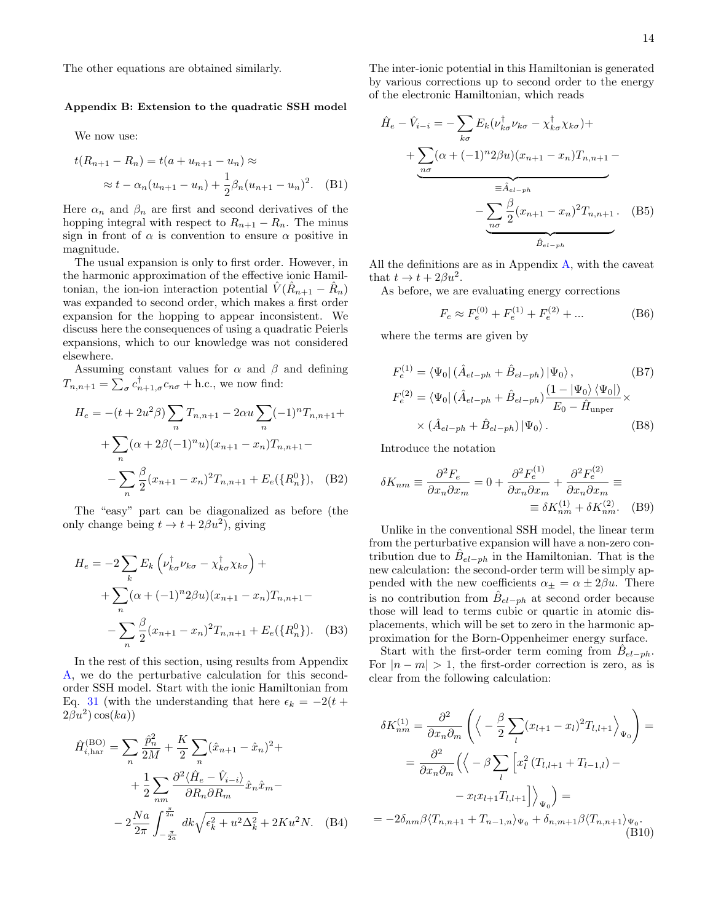The other equations are obtained similarly.

## <span id="page-13-0"></span>Appendix B: Extension to the quadratic SSH model

We now use:

$$
t(R_{n+1} - R_n) = t(a + u_{n+1} - u_n) \approx
$$
  
 
$$
\approx t - \alpha_n (u_{n+1} - u_n) + \frac{1}{2} \beta_n (u_{n+1} - u_n)^2.
$$
 (B1)

Here  $\alpha_n$  and  $\beta_n$  are first and second derivatives of the hopping integral with respect to  $R_{n+1} - R_n$ . The minus sign in front of  $\alpha$  is convention to ensure  $\alpha$  positive in magnitude.

The usual expansion is only to first order. However, in the harmonic approximation of the effective ionic Hamiltonian, the ion-ion interaction potential  $\hat{V}(\hat{R}_{n+1} - \hat{R}_n)$ was expanded to second order, which makes a first order expansion for the hopping to appear inconsistent. We discuss here the consequences of using a quadratic Peierls expansions, which to our knowledge was not considered elsewhere.

Assuming constant values for  $\alpha$  and  $\beta$  and defining  $T_{n,n+1} = \sum_{\sigma} c_{n+1,\sigma}^{\dagger} c_{n\sigma} + \text{h.c., we now find:}$ 

$$
H_e = -(t + 2u^2 \beta) \sum_n T_{n,n+1} - 2\alpha u \sum_n (-1)^n T_{n,n+1} + \sum_n (\alpha + 2\beta (-1)^n u)(x_{n+1} - x_n) T_{n,n+1} - \sum_n \frac{\beta}{2} (x_{n+1} - x_n)^2 T_{n,n+1} + E_e({R_n^0}), \quad (B2)
$$

The "easy" part can be diagonalized as before (the only change being  $t \to t + 2\beta u^2$ , giving

$$
H_e = -2\sum_{k} E_k \left( \nu_{k\sigma}^{\dagger} \nu_{k\sigma} - \chi_{k\sigma}^{\dagger} \chi_{k\sigma} \right) +
$$
  
+ 
$$
\sum_{n} (\alpha + (-1)^n 2\beta u) (x_{n+1} - x_n) T_{n,n+1} -
$$
  
- 
$$
\sum_{n} \frac{\beta}{2} (x_{n+1} - x_n)^2 T_{n,n+1} + E_e({R_n^0}).
$$
 (B3)

In the rest of this section, using results from Appendix [A,](#page-12-0) we do the perturbative calculation for this secondorder SSH model. Start with the ionic Hamiltonian from Eq. [31](#page-5-1) (with the understanding that here  $\epsilon_k = -2(t +$  $2\beta u^2$ )  $\cos(ka)$ )

$$
\hat{H}_{i,\text{har}}^{(\text{BO})} = \sum_{n} \frac{\hat{p}_n^2}{2M} + \frac{K}{2} \sum_{n} (\hat{x}_{n+1} - \hat{x}_n)^2 + \n+ \frac{1}{2} \sum_{nm} \frac{\partial^2 \langle \hat{H}_e - \hat{V}_{i-i} \rangle}{\partial R_n \partial R_m} \hat{x}_n \hat{x}_m - \n- 2 \frac{Na}{2\pi} \int_{-\frac{\pi}{2a}}^{\frac{\pi}{2a}} dk \sqrt{\epsilon_k^2 + u^2 \Delta_k^2} + 2K u^2 N. \quad (B4)
$$

The inter-ionic potential in this Hamiltonian is generated by various corrections up to second order to the energy of the electronic Hamiltonian, which reads

$$
\hat{H}_e - \hat{V}_{i-i} = -\sum_{k\sigma} E_k (\nu_{k\sigma}^\dagger \nu_{k\sigma} - \chi_{k\sigma}^\dagger \chi_{k\sigma}) +
$$
  
+ 
$$
\sum_{n\sigma} (\alpha + (-1)^n 2\beta u)(x_{n+1} - x_n) T_{n,n+1} -
$$
  
= 
$$
\hat{A}_{el-ph}
$$
  
- 
$$
\sum_{n\sigma} \frac{\beta}{2} (x_{n+1} - x_n)^2 T_{n,n+1}.
$$
 (B5)

All the definitions are as in Appendix [A,](#page-12-0) with the caveat that  $t \to t + 2\beta u^2$ .

As before, we are evaluating energy corrections

$$
F_e \approx F_e^{(0)} + F_e^{(1)} + F_e^{(2)} + \dots
$$
 (B6)

where the terms are given by

$$
F_e^{(1)} = \langle \Psi_0 | (\hat{A}_{el-ph} + \hat{B}_{el-ph}) | \Psi_0 \rangle, \qquad (B7)
$$
  
\n
$$
F_e^{(2)} = \langle \Psi_0 | (\hat{A}_{el-ph} + \hat{B}_{el-ph}) \frac{(1 - |\Psi_0\rangle \langle \Psi_0|)}{E_0 - \hat{H}_{\text{unper}}} \times \langle \hat{A}_{el-ph} + \hat{B}_{el-ph} | \Psi_0 \rangle.
$$
 (B8)

Introduce the notation

$$
\delta K_{nm} \equiv \frac{\partial^2 F_e}{\partial x_n \partial x_m} = 0 + \frac{\partial^2 F_e^{(1)}}{\partial x_n \partial x_m} + \frac{\partial^2 F_e^{(2)}}{\partial x_n \partial x_m} \equiv
$$

$$
\equiv \delta K_{nm}^{(1)} + \delta K_{nm}^{(2)}.
$$
 (B9)

Unlike in the conventional SSH model, the linear term from the perturbative expansion will have a non-zero contribution due to  $\hat{B}_{el-ph}$  in the Hamiltonian. That is the new calculation: the second-order term will be simply appended with the new coefficients  $\alpha_{\pm} = \alpha \pm 2\beta u$ . There is no contribution from  $\hat{B}_{el-ph}$  at second order because those will lead to terms cubic or quartic in atomic displacements, which will be set to zero in the harmonic approximation for the Born-Oppenheimer energy surface.

Start with the first-order term coming from  $\hat{B}_{el-ph}$ . For  $|n - m| > 1$ , the first-order correction is zero, as is clear from the following calculation:

$$
\delta K_{nm}^{(1)} = \frac{\partial^2}{\partial x_n \partial_m} \left( \left\langle -\frac{\beta}{2} \sum_l (x_{l+1} - x_l)^2 T_{l,l+1} \right\rangle_{\Psi_0} \right) =
$$
  

$$
= \frac{\partial^2}{\partial x_n \partial_m} \left( \left\langle -\beta \sum_l \left[ x_l^2 (T_{l,l+1} + T_{l-1,l}) - \right. \right. \right.
$$
  

$$
- x_l x_{l+1} T_{l,l+1} \right] \left\langle_{\Psi_0} \right\rangle =
$$
  

$$
= -2\delta_{nm} \beta \langle T_{n,n+1} + T_{n-1,n} \rangle_{\Psi_0} + \delta_{n,m+1} \beta \langle T_{n,n+1} \rangle_{\Psi_0} . \tag{B10}
$$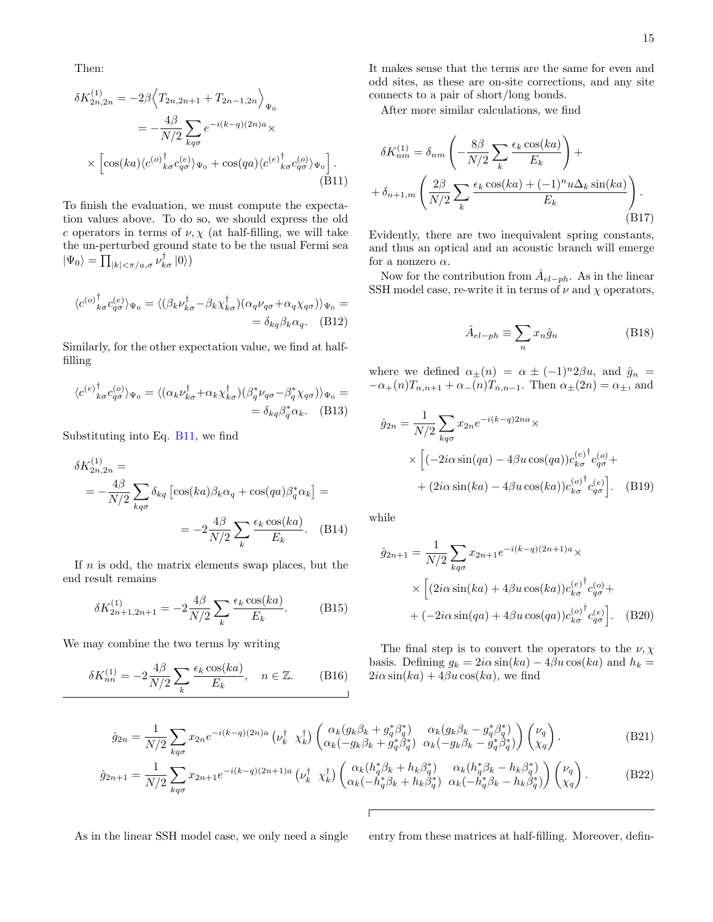Then:

$$
\delta K_{2n,2n}^{(1)} = -2\beta \left\langle T_{2n,2n+1} + T_{2n-1,2n} \right\rangle_{\Psi_0}
$$
  

$$
= -\frac{4\beta}{N/2} \sum_{kq\sigma} e^{-i(k-q)(2n)a} \times
$$
  

$$
\times \left[ \cos(ka) \langle c^{(o)}_{\phantom{o}k\sigma} c_{q\sigma}^{(e)} \rangle_{\Psi_0} + \cos(qa) \langle c^{(e)}_{\phantom{o}k\sigma} c_{q\sigma}^{(o)} \rangle_{\Psi_0} \right].
$$
  
(B11)

To finish the evaluation, we must compute the expectation values above. To do so, we should express the old c operators in terms of  $\nu, \chi$  (at half-filling, we will take the un-perturbed ground state to be the usual Fermi sea  $|\Psi_0\rangle = \prod_{|k| < \pi/a, \sigma} \nu_{k\sigma}^{\dagger} |0\rangle)$ 

$$
\langle c^{(o)}_{\;k\sigma}c^{(e)}_{q\sigma}\rangle_{\Psi_0} = \langle (\beta_k \nu_{k\sigma}^{\dagger} - \beta_k \chi_{k\sigma}^{\dagger})(\alpha_q \nu_{q\sigma} + \alpha_q \chi_{q\sigma})\rangle_{\Psi_0} =
$$
  

$$
= \delta_{kq}\beta_k\alpha_q. \quad \text{(B12)}
$$

Similarly, for the other expectation value, we find at halffilling

$$
\langle c^{(e)}_{\ k\sigma}^{\dagger} c_{q\sigma}^{(o)} \rangle_{\Psi_0} = \langle (\alpha_k \nu_{k\sigma}^{\dagger} + \alpha_k \chi_{k\sigma}^{\dagger}) (\beta_q^* \nu_{q\sigma} - \beta_q^* \chi_{q\sigma}) \rangle_{\Psi_0} =
$$
  
=  $\delta_{kq} \beta_q^* \alpha_k$ . (B13)

Substituting into Eq. [B11,](#page-14-0) we find

$$
\delta K_{2n,2n}^{(1)} =
$$
  
=  $-\frac{4\beta}{N/2} \sum_{kq\sigma} \delta_{kq} \left[ \cos(ka) \beta_k \alpha_q + \cos(qa) \beta_q^* \alpha_k \right] =$   
=  $-2 \frac{4\beta}{N/2} \sum_k \frac{\epsilon_k \cos(ka)}{E_k}$ . (B14)

If  $n$  is odd, the matrix elements swap places, but the end result remains

$$
\delta K_{2n+1,2n+1}^{(1)} = -2\frac{4\beta}{N/2} \sum_{k} \frac{\epsilon_k \cos(ka)}{E_k}.
$$
 (B15)

We may combine the two terms by writing

$$
\delta K_{nn}^{(1)} = -2\frac{4\beta}{N/2} \sum_{k} \frac{\epsilon_k \cos(ka)}{E_k}, \quad n \in \mathbb{Z}.\tag{B16}
$$

It makes sense that the terms are the same for even and odd sites, as these are on-site corrections, and any site connects to a pair of short/long bonds.

After more similar calculations, we find

<span id="page-14-0"></span>
$$
\delta K_{nm}^{(1)} = \delta_{nm} \left( -\frac{8\beta}{N/2} \sum_{k} \frac{\epsilon_k \cos(ka)}{E_k} \right) +
$$

$$
+ \delta_{n+1,m} \left( \frac{2\beta}{N/2} \sum_{k} \frac{\epsilon_k \cos(ka) + (-1)^n u \Delta_k \sin(ka)}{E_k} \right).
$$
(B17)

Evidently, there are two inequivalent spring constants, and thus an optical and an acoustic branch will emerge for a nonzero  $\alpha.$ 

Now for the contribution from  $\hat{A}_{el-ph}$ . As in the linear SSH model case, re-write it in terms of  $\nu$  and  $\chi$  operators,

$$
\hat{A}_{el-ph} \equiv \sum_{n} x_n \hat{g}_n \tag{B18}
$$

where we defined  $\alpha_{\pm}(n) = \alpha \pm (-1)^n 2\beta u$ , and  $\hat{g}_n =$  $-\alpha_{+}(n)T_{n,n+1} + \alpha_{-}(n)T_{n,n-1}$ . Then  $\alpha_{\pm}(2n) = \alpha_{\pm}$ , and

$$
\hat{g}_{2n} = \frac{1}{N/2} \sum_{kq\sigma} x_{2n} e^{-i(k-q)2na} \times
$$
  
 
$$
\times \left[ (-2i\alpha \sin(qa) - 4\beta u \cos(qa)) c_{k\sigma}^{(e)} c_{q\sigma}^{(o)} + (2i\alpha \sin(ka) - 4\beta u \cos(ka)) c_{k\sigma}^{(o)^\dagger} c_{q\sigma}^{(e)} \right].
$$
 (B19)

while

$$
\hat{g}_{2n+1} = \frac{1}{N/2} \sum_{kq\sigma} x_{2n+1} e^{-i(k-q)(2n+1)a} \times
$$

$$
\times \left[ (2i\alpha \sin(ka) + 4\beta u \cos(ka)) c_{k\sigma}^{(e)} \right]_{\sigma}^{t} + (-2i\alpha \sin(qa) + 4\beta u \cos(qa)) c_{k\sigma}^{(o)\dagger} c_{q\sigma}^{(e)} \right]. \quad (B20)
$$

The final step is to convert the operators to the  $\nu, \chi$ basis. Defining  $g_k = 2i\alpha \sin(ka) - 4\beta u \cos(ka)$  and  $h_k =$  $2i\alpha \sin(ka) + 4\beta u \cos(ka)$ , we find

$$
\hat{g}_{2n} = \frac{1}{N/2} \sum_{kq\sigma} x_{2n} e^{-i(k-q)(2n)a} \left( \nu_k^{\dagger} \chi_k^{\dagger} \right) \begin{pmatrix} \alpha_k (g_k \beta_k + g_q^* \beta_q^*) & \alpha_k (g_k \beta_k - g_q^* \beta_q^*) \\ \alpha_k (-g_k \beta_k + g_q^* \beta_q^*) & \alpha_k (-g_k \beta_k - g_q^* \beta_q^*) \end{pmatrix} \begin{pmatrix} \nu_q \\ \chi_q \end{pmatrix} . \tag{B21}
$$

$$
\hat{g}_{2n+1} = \frac{1}{N/2} \sum_{kq\sigma} x_{2n+1} e^{-i(k-q)(2n+1)a} \left( \nu_k^{\dagger} \chi_k^{\dagger} \right) \begin{pmatrix} \alpha_k (h_q^* \beta_k + h_k \beta_q^*) & \alpha_k (h_q^* \beta_k - h_k \beta_q^*) \\ \alpha_k (-h_q^* \beta_k + h_k \beta_q^*) & \alpha_k (-h_q^* \beta_k - h_k \beta_q^*) \end{pmatrix} \begin{pmatrix} \nu_q \\ \chi_q \end{pmatrix} . \tag{B22}
$$

As in the linear SSH model case, we only need a single entry from these matrices at half-filling. Moreover, defin-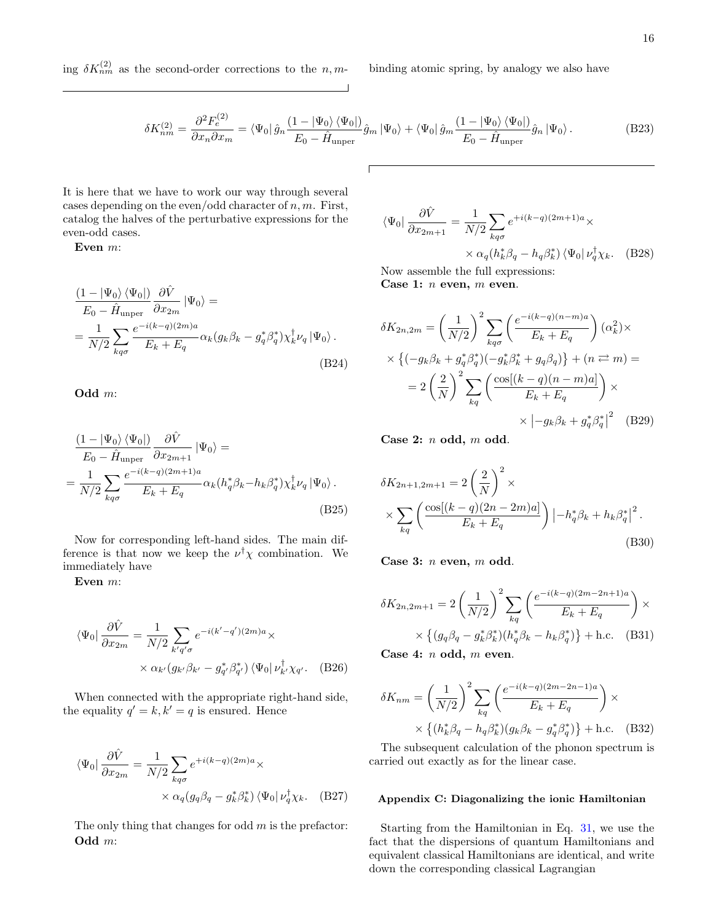ing  $\delta K_{nm}^{(2)}$  as the second-order corrections to the n, m- binding atomic spring, by analogy we also have

$$
\delta K_{nm}^{(2)} = \frac{\partial^2 F_e^{(2)}}{\partial x_n \partial x_m} = \langle \Psi_0 | \hat{g}_n \frac{(1 - |\Psi_0\rangle \langle \Psi_0|)}{E_0 - \hat{H}_{\text{unper}}} \hat{g}_m | \Psi_0 \rangle + \langle \Psi_0 | \hat{g}_m \frac{(1 - |\Psi_0\rangle \langle \Psi_0|)}{E_0 - \hat{H}_{\text{unper}}} \hat{g}_n | \Psi_0 \rangle. \tag{B23}
$$

It is here that we have to work our way through several cases depending on the even/odd character of  $n, m$ . First, catalog the halves of the perturbative expressions for the even-odd cases.

Even m:

$$
\frac{(1 - |\Psi_0\rangle \langle \Psi_0|)}{E_0 - \hat{H}_{\text{unper}}}\frac{\partial \hat{V}}{\partial x_{2m}} |\Psi_0\rangle =
$$
\n
$$
= \frac{1}{N/2} \sum_{kq\sigma} \frac{e^{-i(k-q)(2m)a}}{E_k + E_q} \alpha_k (g_k \beta_k - g_q^* \beta_q^*) \chi_k^{\dagger} \nu_q |\Psi_0\rangle.
$$
\n(B24)

Odd m:

$$
\frac{(1 - |\Psi_0\rangle \langle \Psi_0|)}{E_0 - \hat{H}_{\text{unper}}}\frac{\partial \hat{V}}{\partial x_{2m+1}} |\Psi_0\rangle =
$$
\n
$$
= \frac{1}{N/2} \sum_{kq\sigma} \frac{e^{-i(k-q)(2m+1)a}}{E_k + E_q} \alpha_k (h_q^* \beta_k - h_k \beta_q^*) \chi_k^{\dagger} \nu_q |\Psi_0\rangle.
$$
\n(B25)

Now for corresponding left-hand sides. The main difference is that now we keep the  $\nu^{\dagger} \chi$  combination. We immediately have

Even m:

$$
\langle \Psi_0 | \frac{\partial \hat{V}}{\partial x_{2m}} = \frac{1}{N/2} \sum_{k'q'\sigma} e^{-i(k'-q')(2m)a} \times \times \alpha_{k'}(g_{k'}\beta_{k'} - g_{q'}^*\beta_{q'}^*) \langle \Psi_0 | \nu_{k'}^{\dagger} \chi_{q'}.
$$
 (B26)

When connected with the appropriate right-hand side, the equality  $q' = k, k' = q$  is ensured. Hence

$$
\langle \Psi_0 | \frac{\partial \hat{V}}{\partial x_{2m}} = \frac{1}{N/2} \sum_{kq\sigma} e^{+i(k-q)(2m)a} \times \times \alpha_q(g_q \beta_q - g_k^* \beta_k^*) \langle \Psi_0 | \nu_q^{\dagger} \chi_k. \quad (B27)
$$

The only thing that changes for odd  $m$  is the prefactor: Odd m:

$$
\langle \Psi_0 | \frac{\partial \hat{V}}{\partial x_{2m+1}} = \frac{1}{N/2} \sum_{kq\sigma} e^{+i(k-q)(2m+1)a} \times \times \alpha_q(h_k^* \beta_q - h_q \beta_k^*) \langle \Psi_0 | \nu_q^{\dagger} \chi_k. \quad (B28)
$$

Now assemble the full expressions: Case 1:  $n$  even,  $m$  even.

$$
\delta K_{2n,2m} = \left(\frac{1}{N/2}\right)^2 \sum_{kq\sigma} \left(\frac{e^{-i(k-q)(n-m)a}}{E_k + E_q}\right) (\alpha_k^2) \times
$$
  
 
$$
\times \left\{(-g_k\beta_k + g_q^*\beta_q^*)(-g_k^*\beta_k^* + g_q\beta_q)\right\} + (n \rightleftarrows m) =
$$
  

$$
= 2\left(\frac{2}{N}\right)^2 \sum_{kq} \left(\frac{\cos[(k-q)(n-m)a]}{E_k + E_q}\right) \times
$$
  

$$
\times \left|-g_k\beta_k + g_q^*\beta_q^*\right|^2 \quad \text{(B29)}
$$

Case 2: n odd, m odd.

$$
\delta K_{2n+1,2m+1} = 2\left(\frac{2}{N}\right)^2 \times \times \sum_{kq} \left(\frac{\cos[(k-q)(2n-2m)a]}{E_k + E_q}\right) \left|-h_q^* \beta_k + h_k \beta_q^*\right|^2.
$$
\n(B30)

Case 3: n even, m odd.

$$
\delta K_{2n,2m+1} = 2 \left( \frac{1}{N/2} \right)^2 \sum_{kq} \left( \frac{e^{-i(k-q)(2m-2n+1)a}}{E_k + E_q} \right) \times \times \left\{ (g_q \beta_q - g_k^* \beta_k^*) (h_q^* \beta_k - h_k \beta_q^*) \right\} + \text{h.c.} \quad (B31)
$$

Case 4: n odd, m even.

$$
\delta K_{nm} = \left(\frac{1}{N/2}\right)^2 \sum_{kq} \left(\frac{e^{-i(k-q)(2m-2n-1)a}}{E_k + E_q}\right) \times \times \left\{ (h_k^* \beta_q - h_q \beta_k^*) (g_k \beta_k - g_q^* \beta_q^*) \right\} + \text{h.c.} \quad (B32)
$$

The subsequent calculation of the phonon spectrum is carried out exactly as for the linear case.

## <span id="page-15-0"></span>Appendix C: Diagonalizing the ionic Hamiltonian

Starting from the Hamiltonian in Eq. [31,](#page-5-1) we use the fact that the dispersions of quantum Hamiltonians and equivalent classical Hamiltonians are identical, and write down the corresponding classical Lagrangian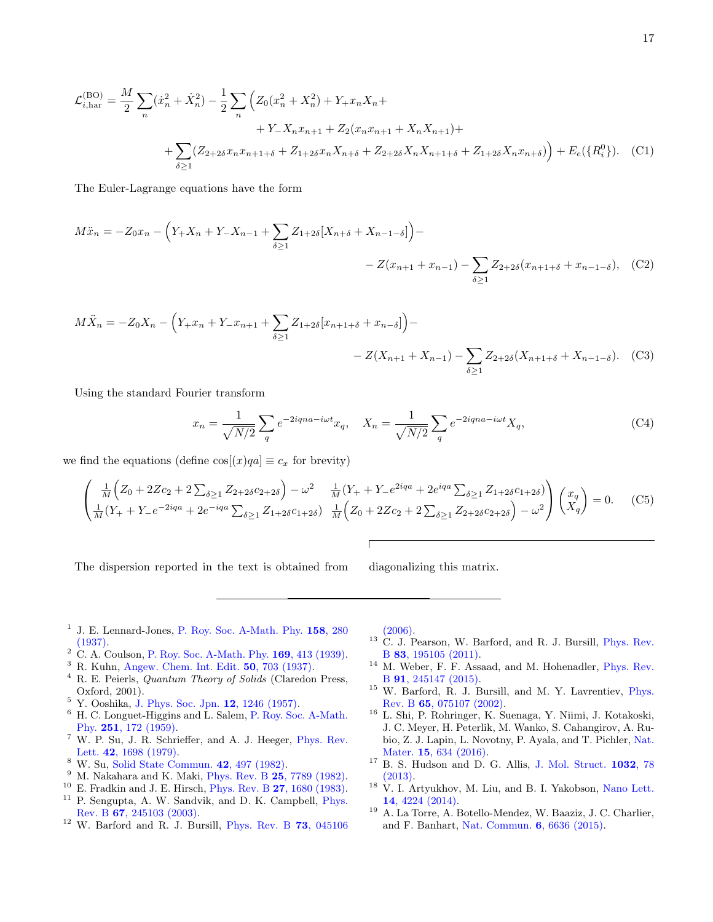$$
\mathcal{L}_{i,\text{har}}^{(\text{BO})} = \frac{M}{2} \sum_{n} (\dot{x}_n^2 + \dot{X}_n^2) - \frac{1}{2} \sum_{n} \left( Z_0(x_n^2 + X_n^2) + Y_+ x_n X_n + \n+ Y_- X_n x_{n+1} + Z_2(x_n x_{n+1} + X_n X_{n+1}) + \n+ \sum_{\delta \ge 1} (Z_{2+2\delta} x_n x_{n+1+\delta} + Z_{1+2\delta} x_n X_{n+\delta} + Z_{2+2\delta} X_n X_{n+1+\delta} + Z_{1+2\delta} X_n x_{n+\delta}) \right) + E_e(\{R_i^0\}). \tag{C1}
$$

The Euler-Lagrange equations have the form

$$
M\ddot{x}_n = -Z_0 x_n - \left(Y_+ X_n + Y_- X_{n-1} + \sum_{\delta \ge 1} Z_{1+2\delta} [X_{n+\delta} + X_{n-1-\delta}] \right) -
$$
  

$$
- Z(x_{n+1} + x_{n-1}) - \sum_{\delta \ge 1} Z_{2+2\delta} (x_{n+1+\delta} + x_{n-1-\delta}), \quad (C2)
$$

$$
M\ddot{X}_n = -Z_0X_n - \left(Y_+x_n + Y_-x_{n+1} + \sum_{\delta \ge 1} Z_{1+2\delta}[x_{n+1+\delta} + x_{n-\delta}]\right) -
$$
  

$$
- Z(X_{n+1} + X_{n-1}) - \sum_{\delta \ge 1} Z_{2+2\delta}(X_{n+1+\delta} + X_{n-1-\delta}). \quad (C3)
$$

Using the standard Fourier transform

$$
x_n = \frac{1}{\sqrt{N/2}} \sum_q e^{-2iqna - i\omega t} x_q, \quad X_n = \frac{1}{\sqrt{N/2}} \sum_q e^{-2iqna - i\omega t} X_q,
$$
\n(C4)

we find the equations (define  $\cos[(x)qa] \equiv c_x$  for brevity)

$$
\begin{pmatrix}\n\frac{1}{M}\left(Z_0 + 2Zc_2 + 2\sum_{\delta \ge 1} Z_{2+2\delta}c_{2+2\delta}\right) - \omega^2 & \frac{1}{M}(Y_+ + Y_-e^{2iqa} + 2e^{iqa}\sum_{\delta \ge 1} Z_{1+2\delta}c_{1+2\delta}) \\
\frac{1}{M}(Y_+ + Y_-e^{-2iqa} + 2e^{-iqa}\sum_{\delta \ge 1} Z_{1+2\delta}c_{1+2\delta}) & \frac{1}{M}\left(Z_0 + 2Zc_2 + 2\sum_{\delta \ge 1} Z_{2+2\delta}c_{2+2\delta}\right) - \omega^2\right)\n\end{pmatrix}\n\begin{pmatrix}\nx_q \\
X_q\n\end{pmatrix} = 0.
$$
\n(C5)

The dispersion reported in the text is obtained from diagonalizing this matrix.

- <span id="page-16-0"></span><sup>1</sup> J. E. Lennard-Jones, [P. Roy. Soc. A-Math. Phy.](https://doi.org/10.1098/rspa.1937.0020) 158, 280 [\(1937\).](https://doi.org/10.1098/rspa.1937.0020)
- <span id="page-16-1"></span><sup>2</sup> C. A. Coulson, [P. Roy. Soc. A-Math. Phy.](https://doi.org/10.1098/rspa.1939.0006) 169, 413 (1939).
- <span id="page-16-2"></span><sup>3</sup> R. Kuhn, [Angew. Chem. Int. Edit.](https://doi.org/10.1002/ange.19370503402) 50, 703 (1937).
- <span id="page-16-3"></span><sup>4</sup> R. E. Peierls, *Quantum Theory of Solids* (Claredon Press, Oxford, 2001).
- <span id="page-16-4"></span><sup>5</sup> Y. Ooshika, [J. Phys. Soc. Jpn.](https://doi.org/10.1143/JPSJ.12.1246) 12, 1246 (1957).
- <span id="page-16-5"></span> $^6\,$  H. C. Longuet-Higgins and L. Salem, [P. Roy. Soc. A-Math.](https://doi.org/10.1098/rspa.1959.0100) Phy. 251[, 172 \(1959\).](https://doi.org/10.1098/rspa.1959.0100)
- <span id="page-16-6"></span><sup>7</sup> W. P. Su, J. R. Schrieffer, and A. J. Heeger, [Phys. Rev.](https://doi.org/10.1103/PhysRevLett.42.1698) Lett. 42[, 1698 \(1979\).](https://doi.org/10.1103/PhysRevLett.42.1698)
- <span id="page-16-7"></span><sup>8</sup> W. Su, [Solid State Commun.](https://doi.org/10.1016/0038-1098(82)90628-7) 42, 497 (1982).
- <span id="page-16-8"></span> $9$  M. Nakahara and K. Maki, Phys. Rev. B  $25$ [, 7789 \(1982\).](https://doi.org/10.1103/PhysRevB.25.7789)
- <span id="page-16-9"></span><sup>10</sup> E. Fradkin and J. E. Hirsch, Phys. Rev. B  $27, 1680$  (1983).<br><sup>11</sup> P. Songupta, A. W. Sandvik, and D. K. Campbell, Phys.
- <span id="page-16-10"></span><sup>11</sup> P. Sengupta, A. W. Sandvik, and D. K. Campbell, [Phys.](https://doi.org/10.1103/PhysRevB.67.245103) Rev. B 67[, 245103 \(2003\).](https://doi.org/10.1103/PhysRevB.67.245103)
- <span id="page-16-11"></span> $12$  W. Barford and R. J. Bursill, [Phys. Rev. B](https://doi.org/10.1103/PhysRevB.73.045106) 73, 045106

[\(2006\).](https://doi.org/10.1103/PhysRevB.73.045106)

- <span id="page-16-12"></span><sup>13</sup> C. J. Pearson, W. Barford, and R. J. Bursill, *[Phys. Rev.](https://doi.org/10.1103/PhysRevB.83.195105)* B 83[, 195105 \(2011\).](https://doi.org/10.1103/PhysRevB.83.195105)
- <span id="page-16-13"></span><sup>14</sup> M. Weber, F. F. Assaad, and M. Hohenadler, [Phys. Rev.](https://doi.org/10.1103/PhysRevB.91.245147) B 91[, 245147 \(2015\).](https://doi.org/10.1103/PhysRevB.91.245147)
- <span id="page-16-14"></span><sup>15</sup> W. Barford, R. J. Bursill, and M. Y. Lavrentiev, [Phys.](https://doi.org/10.1103/PhysRevB.65.075107) Rev. B 65[, 075107 \(2002\).](https://doi.org/10.1103/PhysRevB.65.075107)
- <span id="page-16-15"></span><sup>16</sup> L. Shi, P. Rohringer, K. Suenaga, Y. Niimi, J. Kotakoski, J. C. Meyer, H. Peterlik, M. Wanko, S. Cahangirov, A. Rubio, Z. J. Lapin, L. Novotny, P. Ayala, and T. Pichler, [Nat.](https://doi.org/10.1038/nmat4617) Mater. **15**[, 634 \(2016\).](https://doi.org/10.1038/nmat4617)
- <span id="page-16-16"></span><sup>17</sup> B. S. Hudson and D. G. Allis, [J. Mol. Struct.](https://doi.org/10.1016/j.molstruc.2012.07.051) **1032**, 78 [\(2013\).](https://doi.org/10.1016/j.molstruc.2012.07.051)
- <span id="page-16-17"></span><sup>18</sup> V. I. Artyukhov, M. Liu, and B. I. Yakobson, [Nano Lett.](https://doi.org/10.1021/nl5017317) 14[, 4224 \(2014\).](https://doi.org/10.1021/nl5017317)
- <span id="page-16-18"></span><sup>19</sup> A. La Torre, A. Botello-Mendez, W. Baaziz, J. C. Charlier, and F. Banhart, [Nat. Commun.](https://doi.org/10.1038/ncomms7636) 6, 6636 (2015).